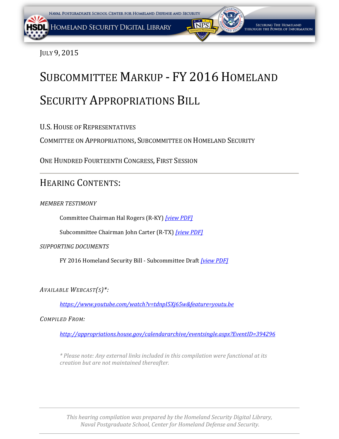



JULY 9, 2015

# SUBCOMMITTEE MARKUP - FY 2016 HOMELAND

# SECURITY APPROPRIATIONS BILL

U.S.HOUSE OF REPRESENTATIVES

COMMITTEE ON APPROPRIATIONS, SUBCOMMITTEE ON HOMELAND SECURITY

ONE HUNDRED FOURTEENTH CONGRESS, FIRST SESSION

# HEARING CONTENTS:

*MEMBER TESTIMONY*

Committee Chairman Hal Rogers (R-KY) *[\[view PDF\]](#page-1-0)*

Subcommittee Chairman John Carter (R-TX) *[\[view PDF\]](#page-2-0)*

*SUPPORTING DOCUMENTS*

FY 2016 Homeland Security Bill - Subcommittee Draft *[\[view PDF\]](#page-6-0)*

*AVAILABLE WEBCAST(S)\*:*

*<https://www.youtube.com/watch?v=tdnpI5Xj65w&feature=youtu.be>*

*COMPILED FROM:*

*<http://appropriations.house.gov/calendararchive/eventsingle.aspx?EventID=394296>*

*\* Please note: Any external links included in this compilation were functional at its creation but are not maintained thereafter.*

*This hearing compilation was prepared by the Homeland Security Digital Library, Naval Postgraduate School, Center for Homeland Defense and Security.*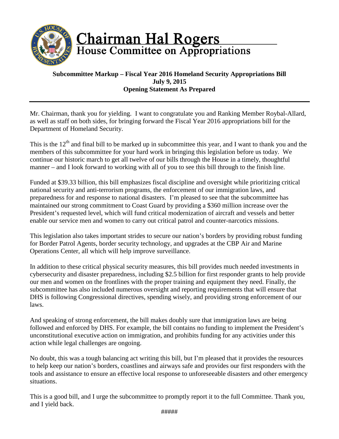<span id="page-1-0"></span>

# **Chairman Hal Rogers**<br>House Committee on Appropriations

# **Subcommittee Markup – Fiscal Year 2016 Homeland Security Appropriations Bill July 9, 2015 Opening Statement As Prepared**

Mr. Chairman, thank you for yielding. I want to congratulate you and Ranking Member Roybal-Allard, as well as staff on both sides, for bringing forward the Fiscal Year 2016 appropriations bill for the Department of Homeland Security.

This is the  $12<sup>th</sup>$  and final bill to be marked up in subcommittee this year, and I want to thank you and the members of this subcommittee for your hard work in bringing this legislation before us today. We continue our historic march to get all twelve of our bills through the House in a timely, thoughtful manner – and I look forward to working with all of you to see this bill through to the finish line.

Funded at \$39.33 billion, this bill emphasizes fiscal discipline and oversight while prioritizing critical national security and anti-terrorism programs, the enforcement of our immigration laws, and preparedness for and response to national disasters. I'm pleased to see that the subcommittee has maintained our strong commitment to Coast Guard by providing a \$360 million increase over the President's requested level, which will fund critical modernization of aircraft and vessels and better enable our service men and women to carry out critical patrol and counter-narcotics missions.

This legislation also takes important strides to secure our nation's borders by providing robust funding for Border Patrol Agents, border security technology, and upgrades at the CBP Air and Marine Operations Center, all which will help improve surveillance.

In addition to these critical physical security measures, this bill provides much needed investments in cybersecurity and disaster preparedness, including \$2.5 billion for first responder grants to help provide our men and women on the frontlines with the proper training and equipment they need. Finally, the subcommittee has also included numerous oversight and reporting requirements that will ensure that DHS is following Congressional directives, spending wisely, and providing strong enforcement of our laws.

And speaking of strong enforcement, the bill makes doubly sure that immigration laws are being followed and enforced by DHS. For example, the bill contains no funding to implement the President's unconstitutional executive action on immigration, and prohibits funding for any activities under this action while legal challenges are ongoing.

No doubt, this was a tough balancing act writing this bill, but I'm pleased that it provides the resources to help keep our nation's borders, coastlines and airways safe and provides our first responders with the tools and assistance to ensure an effective local response to unforeseeable disasters and other emergency situations.

This is a good bill, and I urge the subcommittee to promptly report it to the full Committee. Thank you, and I yield back.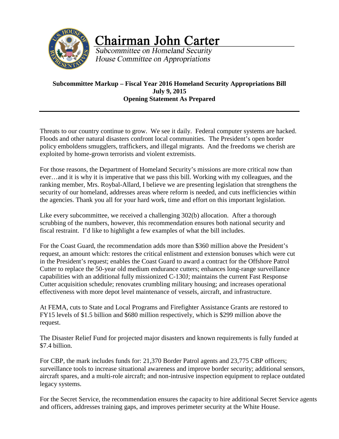<span id="page-2-0"></span>

**Chairman John Carter** 

Subcommittee on Homeland Security House Committee on Appropriations

# **Subcommittee Markup – Fiscal Year 2016 Homeland Security Appropriations Bill July 9, 2015 Opening Statement As Prepared**

Threats to our country continue to grow. We see it daily. Federal computer systems are hacked. Floods and other natural disasters confront local communities. The President's open border policy emboldens smugglers, traffickers, and illegal migrants. And the freedoms we cherish are exploited by home-grown terrorists and violent extremists.

For those reasons, the Department of Homeland Security's missions are more critical now than ever…and it is why it is imperative that we pass this bill. Working with my colleagues, and the ranking member, Mrs. Roybal-Allard, I believe we are presenting legislation that strengthens the security of our homeland, addresses areas where reform is needed, and cuts inefficiencies within the agencies. Thank you all for your hard work, time and effort on this important legislation.

Like every subcommittee, we received a challenging 302(b) allocation. After a thorough scrubbing of the numbers, however, this recommendation ensures both national security and fiscal restraint. I'd like to highlight a few examples of what the bill includes.

For the Coast Guard, the recommendation adds more than \$360 million above the President's request, an amount which: restores the critical enlistment and extension bonuses which were cut in the President's request; enables the Coast Guard to award a contract for the Offshore Patrol Cutter to replace the 50-year old medium endurance cutters; enhances long-range surveillance capabilities with an additional fully missionized C-130J; maintains the current Fast Response Cutter acquisition schedule; renovates crumbling military housing; and increases operational effectiveness with more depot level maintenance of vessels, aircraft, and infrastructure.

At FEMA, cuts to State and Local Programs and Firefighter Assistance Grants are restored to FY15 levels of \$1.5 billion and \$680 million respectively, which is \$299 million above the request.

The Disaster Relief Fund for projected major disasters and known requirements is fully funded at \$7.4 billion.

For CBP, the mark includes funds for: 21,370 Border Patrol agents and 23,775 CBP officers; surveillance tools to increase situational awareness and improve border security; additional sensors, aircraft spares, and a multi-role aircraft; and non-intrusive inspection equipment to replace outdated legacy systems.

For the Secret Service, the recommendation ensures the capacity to hire additional Secret Service agents and officers, addresses training gaps, and improves perimeter security at the White House.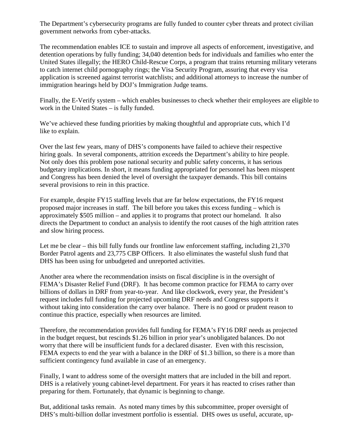The Department's cybersecurity programs are fully funded to counter cyber threats and protect civilian government networks from cyber-attacks.

The recommendation enables ICE to sustain and improve all aspects of enforcement, investigative, and detention operations by fully funding; 34,040 detention beds for individuals and families who enter the United States illegally; the HERO Child-Rescue Corps, a program that trains returning military veterans to catch internet child pornography rings; the Visa Security Program, assuring that every visa application is screened against terrorist watchlists; and additional attorneys to increase the number of immigration hearings held by DOJ's Immigration Judge teams.

Finally, the E-Verify system – which enables businesses to check whether their employees are eligible to work in the United States – is fully funded.

We've achieved these funding priorities by making thoughtful and appropriate cuts, which I'd like to explain.

Over the last few years, many of DHS's components have failed to achieve their respective hiring goals. In several components, attrition exceeds the Department's ability to hire people. Not only does this problem pose national security and public safety concerns, it has serious budgetary implications. In short, it means funding appropriated for personnel has been misspent and Congress has been denied the level of oversight the taxpayer demands. This bill contains several provisions to rein in this practice.

For example, despite FY15 staffing levels that are far below expectations, the FY16 request proposed major increases in staff. The bill before you takes this excess funding – which is approximately \$505 million – and applies it to programs that protect our homeland. It also directs the Department to conduct an analysis to identify the root causes of the high attrition rates and slow hiring process.

Let me be clear – this bill fully funds our frontline law enforcement staffing, including 21,370 Border Patrol agents and 23,775 CBP Officers. It also eliminates the wasteful slush fund that DHS has been using for unbudgeted and unreported activities.

Another area where the recommendation insists on fiscal discipline is in the oversight of FEMA's Disaster Relief Fund (DRF). It has become common practice for FEMA to carry over billions of dollars in DRF from year-to-year. And like clockwork, every year, the President's request includes full funding for projected upcoming DRF needs and Congress supports it without taking into consideration the carry over balance. There is no good or prudent reason to continue this practice, especially when resources are limited.

Therefore, the recommendation provides full funding for FEMA's FY16 DRF needs as projected in the budget request, but rescinds \$1.26 billion in prior year's unobligated balances. Do not worry that there will be insufficient funds for a declared disaster. Even with this rescission, FEMA expects to end the year with a balance in the DRF of \$1.3 billion, so there is a more than sufficient contingency fund available in case of an emergency.

Finally, I want to address some of the oversight matters that are included in the bill and report. DHS is a relatively young cabinet-level department. For years it has reacted to crises rather than preparing for them. Fortunately, that dynamic is beginning to change.

But, additional tasks remain. As noted many times by this subcommittee, proper oversight of DHS's multi-billion dollar investment portfolio is essential. DHS owes us useful, accurate, up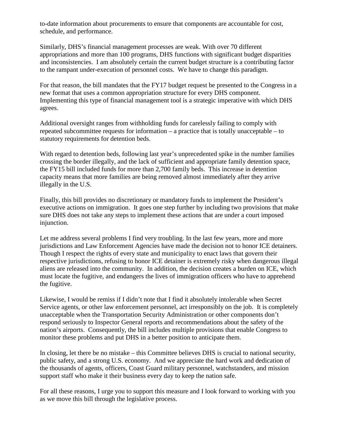to-date information about procurements to ensure that components are accountable for cost, schedule, and performance.

Similarly, DHS's financial management processes are weak. With over 70 different appropriations and more than 100 programs, DHS functions with significant budget disparities and inconsistencies. I am absolutely certain the current budget structure is a contributing factor to the rampant under-execution of personnel costs. We have to change this paradigm.

For that reason, the bill mandates that the FY17 budget request be presented to the Congress in a new format that uses a common appropriation structure for every DHS component. Implementing this type of financial management tool is a strategic imperative with which DHS agrees.

Additional oversight ranges from withholding funds for carelessly failing to comply with repeated subcommittee requests for information – a practice that is totally unacceptable – to statutory requirements for detention beds.

With regard to detention beds, following last year's unprecedented spike in the number families crossing the border illegally, and the lack of sufficient and appropriate family detention space, the FY15 bill included funds for more than 2,700 family beds. This increase in detention capacity means that more families are being removed almost immediately after they arrive illegally in the U.S.

Finally, this bill provides no discretionary or mandatory funds to implement the President's executive actions on immigration. It goes one step further by including two provisions that make sure DHS does not take any steps to implement these actions that are under a court imposed injunction.

Let me address several problems I find very troubling. In the last few years, more and more jurisdictions and Law Enforcement Agencies have made the decision not to honor ICE detainers. Though I respect the rights of every state and municipality to enact laws that govern their respective jurisdictions, refusing to honor ICE detainer is extremely risky when dangerous illegal aliens are released into the community. In addition, the decision creates a burden on ICE, which must locate the fugitive, and endangers the lives of immigration officers who have to apprehend the fugitive.

Likewise, I would be remiss if I didn't note that I find it absolutely intolerable when Secret Service agents, or other law enforcement personnel, act irresponsibly on the job. It is completely unacceptable when the Transportation Security Administration or other components don't respond seriously to Inspector General reports and recommendations about the safety of the nation's airports. Consequently, the bill includes multiple provisions that enable Congress to monitor these problems and put DHS in a better position to anticipate them.

In closing, let there be no mistake – this Committee believes DHS is crucial to national security, public safety, and a strong U.S. economy. And we appreciate the hard work and dedication of the thousands of agents, officers, Coast Guard military personnel, watchstanders, and mission support staff who make it their business every day to keep the nation safe.

For all these reasons, I urge you to support this measure and I look forward to working with you as we move this bill through the legislative process.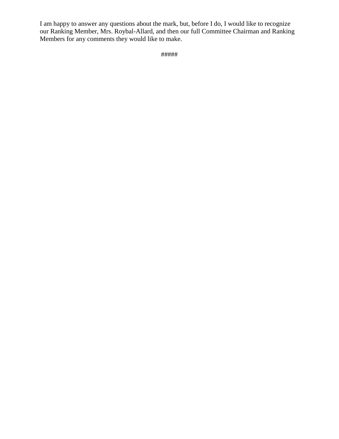I am happy to answer any questions about the mark, but, before I do, I would like to recognize our Ranking Member, Mrs. Roybal-Allard, and then our full Committee Chairman and Ranking Members for any comments they would like to make.

```
#####
```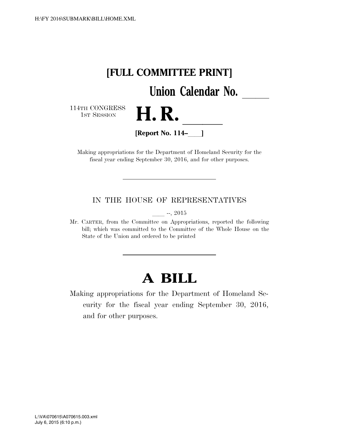<span id="page-6-0"></span>

Making appropriations for the Department of Homeland Security for the fiscal year ending September 30, 2016, and for other purposes.

IN THE HOUSE OF REPRESENTATIVES

 $-$ , 2015

Mr. CARTER, from the Committee on Appropriations, reported the following bill; which was committed to the Committee of the Whole House on the State of the Union and ordered to be printed

# **A BILL**

Making appropriations for the Department of Homeland Security for the fiscal year ending September 30, 2016, and for other purposes.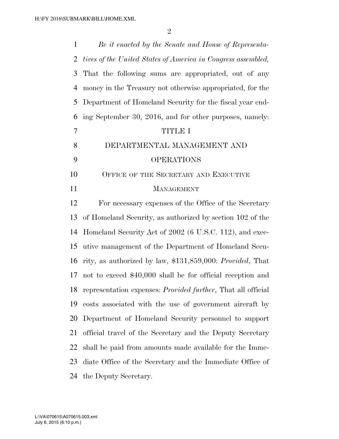| $\mathbf{1}$   | Be it enacted by the Senate and House of Representa-                 |
|----------------|----------------------------------------------------------------------|
| 2              | tives of the United States of America in Congress assembled,         |
| 3              | That the following sums are appropriated, out of any                 |
| $\overline{4}$ | money in the Treasury not otherwise appropriated, for the            |
| 5              | Department of Homeland Security for the fiscal year end-             |
| 6              | ing September 30, 2016, and for other purposes, namely:              |
| $\tau$         | <b>TITLE I</b>                                                       |
| 8              | DEPARTMENTAL MANAGEMENT AND                                          |
| 9              | <b>OPERATIONS</b>                                                    |
| 10             | OFFICE OF THE SECRETARY AND EXECUTIVE                                |
| 11             | <b>MANAGEMENT</b>                                                    |
| 12             | For necessary expenses of the Office of the Secretary                |
| 13             | of Homeland Security, as authorized by section 102 of the            |
| 14             | Homeland Security Act of 2002 (6 U.S.C. 112), and exec-              |
| 15             | utive management of the Department of Homeland Secu-                 |
| 16             | rity, as authorized by law, \$131,859,000: Provided, That            |
| 17             | not to exceed \$40,000 shall be for official reception and           |
| 18             | representation expenses: <i>Provided further</i> , That all official |
| 19             | costs associated with the use of government aircraft by              |
| 20             | Department of Homeland Security personnel to support                 |
| 21             | official travel of the Secretary and the Deputy Secretary            |
| 22             | shall be paid from amounts made available for the Imme-              |
| 23             | diate Office of the Secretary and the Immediate Office of            |
| 24             | the Deputy Secretary.                                                |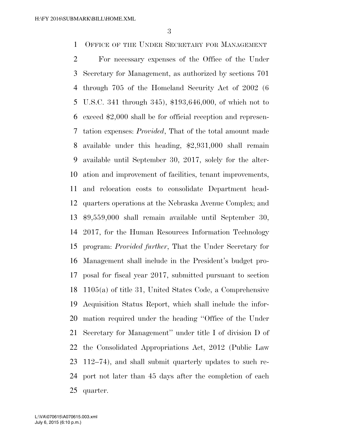OFFICE OF THE UNDER SECRETARY FOR MANAGEMENT

 For necessary expenses of the Office of the Under Secretary for Management, as authorized by sections 701 through 705 of the Homeland Security Act of 2002 (6 U.S.C. 341 through 345), \$193,646,000, of which not to exceed \$2,000 shall be for official reception and represen- tation expenses: *Provided*, That of the total amount made available under this heading, \$2,931,000 shall remain available until September 30, 2017, solely for the alter- ation and improvement of facilities, tenant improvements, and relocation costs to consolidate Department head- quarters operations at the Nebraska Avenue Complex; and \$9,559,000 shall remain available until September 30, 2017, for the Human Resources Information Technology program: *Provided further*, That the Under Secretary for Management shall include in the President's budget pro- posal for fiscal year 2017, submitted pursuant to section 1105(a) of title 31, United States Code, a Comprehensive Acquisition Status Report, which shall include the infor- mation required under the heading ''Office of the Under Secretary for Management'' under title I of division D of the Consolidated Appropriations Act, 2012 (Public Law 112–74), and shall submit quarterly updates to such re- port not later than 45 days after the completion of each quarter.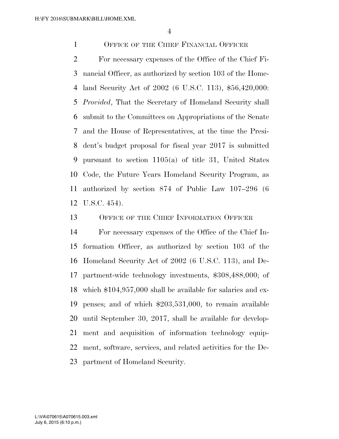OFFICE OF THE CHIEF FINANCIAL OFFICER

 For necessary expenses of the Office of the Chief Fi- nancial Officer, as authorized by section 103 of the Home- land Security Act of 2002 (6 U.S.C. 113), \$56,420,000: *Provided*, That the Secretary of Homeland Security shall submit to the Committees on Appropriations of the Senate and the House of Representatives, at the time the Presi- dent's budget proposal for fiscal year 2017 is submitted pursuant to section 1105(a) of title 31, United States Code, the Future Years Homeland Security Program, as authorized by section 874 of Public Law 107–296 (6 U.S.C. 454).

OFFICE OF THE CHIEF INFORMATION OFFICER

 For necessary expenses of the Office of the Chief In- formation Officer, as authorized by section 103 of the Homeland Security Act of 2002 (6 U.S.C. 113), and De- partment-wide technology investments, \$308,488,000; of which \$104,957,000 shall be available for salaries and ex- penses; and of which \$203,531,000, to remain available until September 30, 2017, shall be available for develop- ment and acquisition of information technology equip- ment, software, services, and related activities for the De-partment of Homeland Security.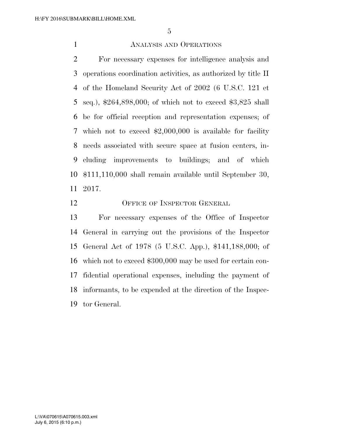# ANALYSIS AND OPERATIONS

 For necessary expenses for intelligence analysis and operations coordination activities, as authorized by title II of the Homeland Security Act of 2002 (6 U.S.C. 121 et seq.), \$264,898,000; of which not to exceed \$3,825 shall be for official reception and representation expenses; of which not to exceed \$2,000,000 is available for facility needs associated with secure space at fusion centers, in- cluding improvements to buildings; and of which \$111,110,000 shall remain available until September 30, 2017.

12 OFFICE OF INSPECTOR GENERAL

 For necessary expenses of the Office of Inspector General in carrying out the provisions of the Inspector General Act of 1978 (5 U.S.C. App.), \$141,188,000; of which not to exceed \$300,000 may be used for certain con- fidential operational expenses, including the payment of informants, to be expended at the direction of the Inspec-tor General.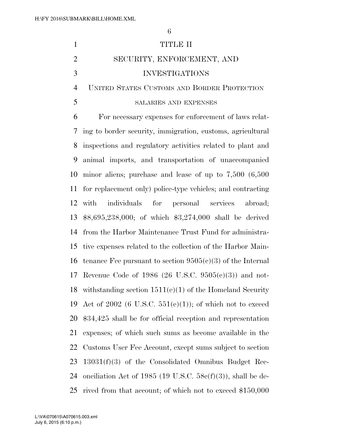|   | TITLE II                                      |
|---|-----------------------------------------------|
|   | SECURITY, ENFORCEMENT, AND                    |
| 3 | <b>INVESTIGATIONS</b>                         |
|   | 4 UNITED STATES CUSTOMS AND BORDER PROTECTION |
|   | SALARIES AND EXPENSES                         |

 For necessary expenses for enforcement of laws relat- ing to border security, immigration, customs, agricultural inspections and regulatory activities related to plant and animal imports, and transportation of unaccompanied minor aliens; purchase and lease of up to 7,500 (6,500 for replacement only) police-type vehicles; and contracting with individuals for personal services abroad; \$8,695,238,000; of which \$3,274,000 shall be derived from the Harbor Maintenance Trust Fund for administra- tive expenses related to the collection of the Harbor Main-16 tenance Fee pursuant to section  $9505(c)(3)$  of the Internal Revenue Code of 1986 (26 U.S.C. 9505(c)(3)) and not- withstanding section 1511(e)(1) of the Homeland Security 19 Act of 2002 (6 U.S.C.  $551(e)(1)$ ); of which not to exceed \$34,425 shall be for official reception and representation expenses; of which such sums as become available in the Customs User Fee Account, except sums subject to section 13031(f)(3) of the Consolidated Omnibus Budget Rec-24 onciliation Act of 1985 (19 U.S.C.  $58e(f)(3)$ ), shall be de-rived from that account; of which not to exceed \$150,000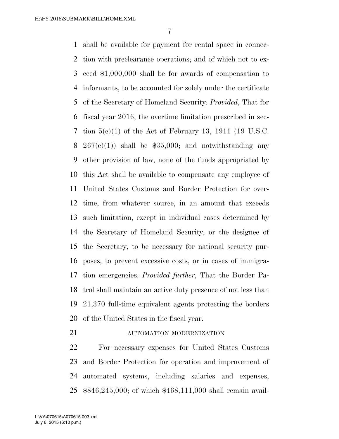shall be available for payment for rental space in connec- tion with preclearance operations; and of which not to ex- ceed \$1,000,000 shall be for awards of compensation to informants, to be accounted for solely under the certificate of the Secretary of Homeland Security: *Provided*, That for fiscal year 2016, the overtime limitation prescribed in sec- tion 5(c)(1) of the Act of February 13, 1911 (19 U.S.C. 8 267(c)(1)) shall be  $$35,000$ ; and notwithstanding any other provision of law, none of the funds appropriated by this Act shall be available to compensate any employee of United States Customs and Border Protection for over- time, from whatever source, in an amount that exceeds such limitation, except in individual cases determined by the Secretary of Homeland Security, or the designee of the Secretary, to be necessary for national security pur- poses, to prevent excessive costs, or in cases of immigra- tion emergencies: *Provided further*, That the Border Pa- trol shall maintain an active duty presence of not less than 21,370 full-time equivalent agents protecting the borders of the United States in the fiscal year.

**AUTOMATION MODERNIZATION** 

 For necessary expenses for United States Customs and Border Protection for operation and improvement of automated systems, including salaries and expenses, \$846,245,000; of which \$468,111,000 shall remain avail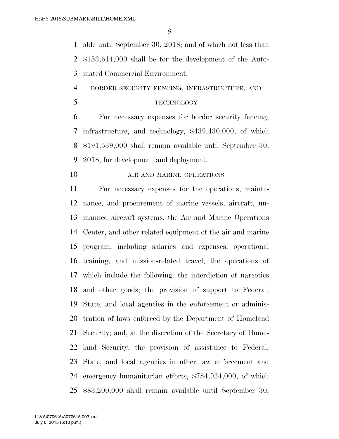able until September 30, 2018; and of which not less than \$153,614,000 shall be for the development of the Auto-mated Commercial Environment.

BORDER SECURITY FENCING, INFRASTRUCTURE, AND

TECHNOLOGY

 For necessary expenses for border security fencing, infrastructure, and technology, \$439,430,000, of which \$191,539,000 shall remain available until September 30, 2018, for development and deployment.

**AIR AND MARINE OPERATIONS** 

 For necessary expenses for the operations, mainte- nance, and procurement of marine vessels, aircraft, un- manned aircraft systems, the Air and Marine Operations Center, and other related equipment of the air and marine program, including salaries and expenses, operational training, and mission-related travel, the operations of which include the following: the interdiction of narcotics and other goods; the provision of support to Federal, State, and local agencies in the enforcement or adminis- tration of laws enforced by the Department of Homeland Security; and, at the discretion of the Secretary of Home- land Security, the provision of assistance to Federal, State, and local agencies in other law enforcement and emergency humanitarian efforts; \$784,934,000; of which \$83,200,000 shall remain available until September 30,

July 6, 2015 (6:10 p.m.) L:\VA\070615\A070615.003.xml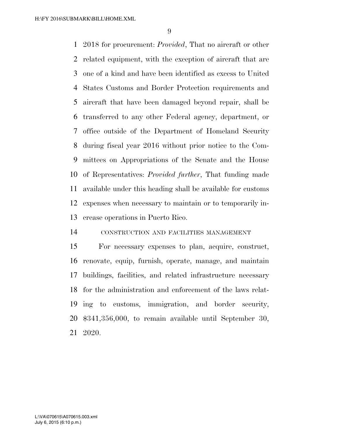2018 for procurement: *Provided*, That no aircraft or other related equipment, with the exception of aircraft that are one of a kind and have been identified as excess to United States Customs and Border Protection requirements and aircraft that have been damaged beyond repair, shall be transferred to any other Federal agency, department, or office outside of the Department of Homeland Security during fiscal year 2016 without prior notice to the Com- mittees on Appropriations of the Senate and the House of Representatives: *Provided further*, That funding made available under this heading shall be available for customs expenses when necessary to maintain or to temporarily in-crease operations in Puerto Rico.

# CONSTRUCTION AND FACILITIES MANAGEMENT

 For necessary expenses to plan, acquire, construct, renovate, equip, furnish, operate, manage, and maintain buildings, facilities, and related infrastructure necessary for the administration and enforcement of the laws relat- ing to customs, immigration, and border security, \$341,356,000, to remain available until September 30, 2020.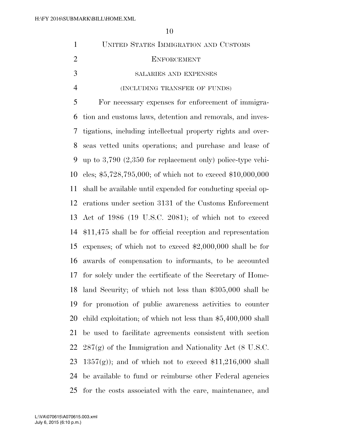| $\mathbf{1}$   | UNITED STATES IMMIGRATION AND CUSTOMS                          |
|----------------|----------------------------------------------------------------|
| $\overline{2}$ | <b>ENFORCEMENT</b>                                             |
| 3              | SALARIES AND EXPENSES                                          |
| $\overline{4}$ | (INCLUDING TRANSFER OF FUNDS)                                  |
| 5              | For necessary expenses for enforcement of immigra-             |
| 6              | tion and customs laws, detention and removals, and inves-      |
| 7              | tigations, including intellectual property rights and over-    |
| 8              | seas vetted units operations; and purchase and lease of        |
| 9              | up to $3,790$ $(2,350$ for replacement only) police-type vehi- |
| 10             | cles; $$5,728,795,000$ ; of which not to exceed $$10,000,000$  |
| 11             | shall be available until expended for conducting special op-   |
| 12             | erations under section 3131 of the Customs Enforcement         |
| 13             | Act of 1986 (19 U.S.C. 2081); of which not to exceed           |
| 14             | $$11,475$ shall be for official reception and representation   |
| 15             | expenses; of which not to exceed $$2,000,000$ shall be for     |
| 16             | awards of compensation to informants, to be accounted          |
| 17             | for solely under the certificate of the Secretary of Home-     |
|                | 18 land Security; of which not less than \$305,000 shall be    |
| 19             | for promotion of public awareness activities to counter        |
| 20             | child exploitation; of which not less than $$5,400,000$ shall  |
| 21             | be used to facilitate agreements consistent with section       |
| 22             | $287(g)$ of the Immigration and Nationality Act (8 U.S.C.      |
| 23             | $1357(g)$ ; and of which not to exceed \$11,216,000 shall      |
| 24             | be available to fund or reimburse other Federal agencies       |
| 25             | for the costs associated with the care, maintenance, and       |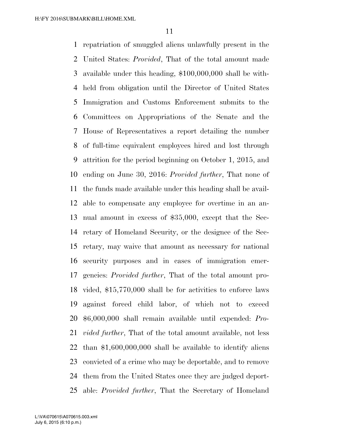repatriation of smuggled aliens unlawfully present in the United States: *Provided*, That of the total amount made available under this heading, \$100,000,000 shall be with- held from obligation until the Director of United States Immigration and Customs Enforcement submits to the Committees on Appropriations of the Senate and the House of Representatives a report detailing the number of full-time equivalent employees hired and lost through attrition for the period beginning on October 1, 2015, and ending on June 30, 2016: *Provided further*, That none of the funds made available under this heading shall be avail- able to compensate any employee for overtime in an an- nual amount in excess of \$35,000, except that the Sec- retary of Homeland Security, or the designee of the Sec- retary, may waive that amount as necessary for national security purposes and in cases of immigration emer- gencies: *Provided further*, That of the total amount pro- vided, \$15,770,000 shall be for activities to enforce laws against forced child labor, of which not to exceed \$6,000,000 shall remain available until expended: *Pro- vided further*, That of the total amount available, not less than \$1,600,000,000 shall be available to identify aliens convicted of a crime who may be deportable, and to remove them from the United States once they are judged deport-able: *Provided further*, That the Secretary of Homeland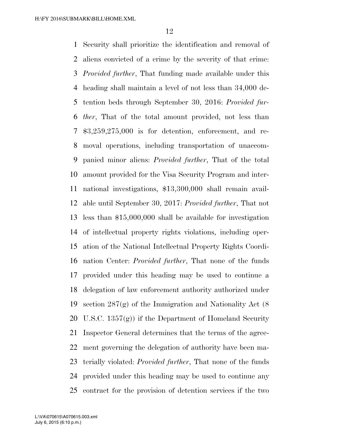Security shall prioritize the identification and removal of aliens convicted of a crime by the severity of that crime: *Provided further*, That funding made available under this heading shall maintain a level of not less than 34,000 de- tention beds through September 30, 2016: *Provided fur- ther*, That of the total amount provided, not less than \$3,259,275,000 is for detention, enforcement, and re- moval operations, including transportation of unaccom- panied minor aliens: *Provided further*, That of the total amount provided for the Visa Security Program and inter- national investigations, \$13,300,000 shall remain avail- able until September 30, 2017: *Provided further*, That not less than \$15,000,000 shall be available for investigation of intellectual property rights violations, including oper- ation of the National Intellectual Property Rights Coordi- nation Center: *Provided further*, That none of the funds provided under this heading may be used to continue a delegation of law enforcement authority authorized under section 287(g) of the Immigration and Nationality Act (8 U.S.C. 1357(g)) if the Department of Homeland Security Inspector General determines that the terms of the agree- ment governing the delegation of authority have been ma- terially violated: *Provided further*, That none of the funds provided under this heading may be used to continue any contract for the provision of detention services if the two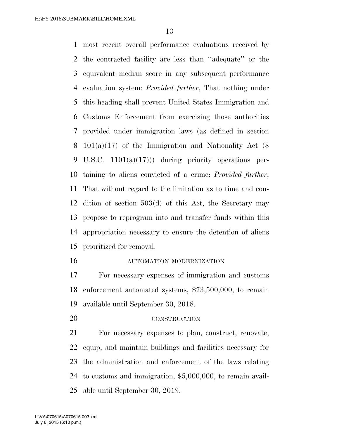most recent overall performance evaluations received by the contracted facility are less than ''adequate'' or the equivalent median score in any subsequent performance evaluation system: *Provided further*, That nothing under this heading shall prevent United States Immigration and Customs Enforcement from exercising those authorities provided under immigration laws (as defined in section 101(a)(17) of the Immigration and Nationality Act (8 U.S.C. 1101(a)(17))) during priority operations per- taining to aliens convicted of a crime: *Provided further*, That without regard to the limitation as to time and con- dition of section 503(d) of this Act, the Secretary may propose to reprogram into and transfer funds within this appropriation necessary to ensure the detention of aliens prioritized for removal.

#### AUTOMATION MODERNIZATION

 For necessary expenses of immigration and customs enforcement automated systems, \$73,500,000, to remain available until September 30, 2018.

CONSTRUCTION

 For necessary expenses to plan, construct, renovate, equip, and maintain buildings and facilities necessary for the administration and enforcement of the laws relating to customs and immigration, \$5,000,000, to remain avail-able until September 30, 2019.

July 6, 2015 (6:10 p.m.) L:\VA\070615\A070615.003.xml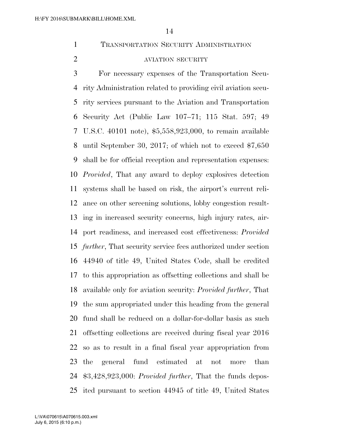TRANSPORTATION SECURITY ADMINISTRATION

# AVIATION SECURITY

 For necessary expenses of the Transportation Secu- rity Administration related to providing civil aviation secu- rity services pursuant to the Aviation and Transportation Security Act (Public Law 107–71; 115 Stat. 597; 49 U.S.C. 40101 note), \$5,558,923,000, to remain available until September 30, 2017; of which not to exceed \$7,650 shall be for official reception and representation expenses: *Provided*, That any award to deploy explosives detection systems shall be based on risk, the airport's current reli- ance on other screening solutions, lobby congestion result- ing in increased security concerns, high injury rates, air- port readiness, and increased cost effectiveness: *Provided further*, That security service fees authorized under section 44940 of title 49, United States Code, shall be credited to this appropriation as offsetting collections and shall be available only for aviation security: *Provided further*, That the sum appropriated under this heading from the general fund shall be reduced on a dollar-for-dollar basis as such offsetting collections are received during fiscal year 2016 so as to result in a final fiscal year appropriation from the general fund estimated at not more than \$3,428,923,000: *Provided further*, That the funds depos-ited pursuant to section 44945 of title 49, United States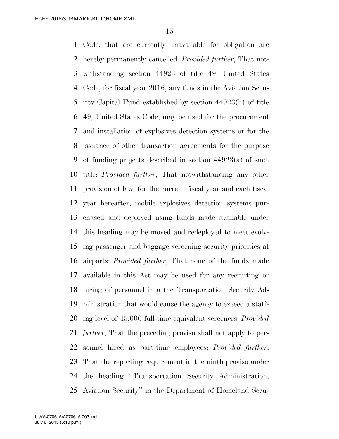Code, that are currently unavailable for obligation are hereby permanently cancelled: *Provided further*, That not- withstanding section 44923 of title 49, United States Code, for fiscal year 2016, any funds in the Aviation Secu- rity Capital Fund established by section 44923(h) of title 49, United States Code, may be used for the procurement and installation of explosives detection systems or for the issuance of other transaction agreements for the purpose of funding projects described in section 44923(a) of such title: *Provided further*, That notwithstanding any other provision of law, for the current fiscal year and each fiscal year hereafter, mobile explosives detection systems pur- chased and deployed using funds made available under this heading may be moved and redeployed to meet evolv- ing passenger and baggage screening security priorities at airports: *Provided further*, That none of the funds made available in this Act may be used for any recruiting or hiring of personnel into the Transportation Security Ad- ministration that would cause the agency to exceed a staff- ing level of 45,000 full-time equivalent screeners: *Provided further*, That the preceding proviso shall not apply to per- sonnel hired as part-time employees: *Provided further*, That the reporting requirement in the ninth proviso under the heading ''Transportation Security Administration, Aviation Security'' in the Department of Homeland Secu-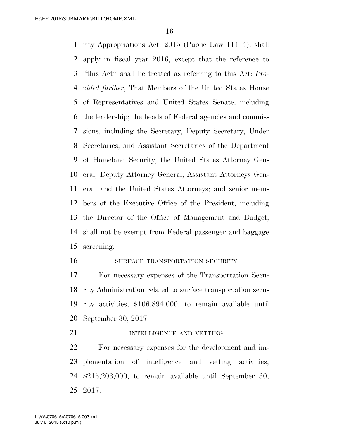rity Appropriations Act, 2015 (Public Law 114–4), shall apply in fiscal year 2016, except that the reference to ''this Act'' shall be treated as referring to this Act: *Pro- vided further*, That Members of the United States House of Representatives and United States Senate, including the leadership; the heads of Federal agencies and commis- sions, including the Secretary, Deputy Secretary, Under Secretaries, and Assistant Secretaries of the Department of Homeland Security; the United States Attorney Gen- eral, Deputy Attorney General, Assistant Attorneys Gen- eral, and the United States Attorneys; and senior mem- bers of the Executive Office of the President, including the Director of the Office of Management and Budget, shall not be exempt from Federal passenger and baggage screening.

#### SURFACE TRANSPORTATION SECURITY

 For necessary expenses of the Transportation Secu- rity Administration related to surface transportation secu- rity activities, \$106,894,000, to remain available until September 30, 2017.

### **INTELLIGENCE AND VETTING**

 For necessary expenses for the development and im- plementation of intelligence and vetting activities, \$216,203,000, to remain available until September 30, 2017.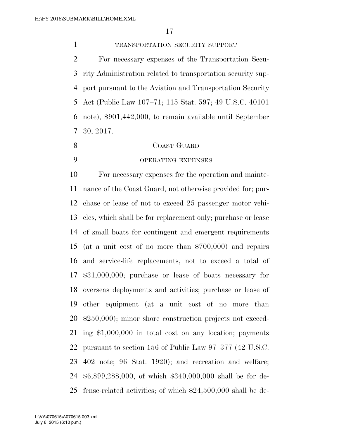TRANSPORTATION SECURITY SUPPORT

 For necessary expenses of the Transportation Secu- rity Administration related to transportation security sup- port pursuant to the Aviation and Transportation Security Act (Public Law 107–71; 115 Stat. 597; 49 U.S.C. 40101 note), \$901,442,000, to remain available until September 30, 2017.

- COAST GUARD
- 

# OPERATING EXPENSES

 For necessary expenses for the operation and mainte- nance of the Coast Guard, not otherwise provided for; pur- chase or lease of not to exceed 25 passenger motor vehi- cles, which shall be for replacement only; purchase or lease of small boats for contingent and emergent requirements (at a unit cost of no more than \$700,000) and repairs and service-life replacements, not to exceed a total of \$31,000,000; purchase or lease of boats necessary for overseas deployments and activities; purchase or lease of other equipment (at a unit cost of no more than \$250,000); minor shore construction projects not exceed- ing \$1,000,000 in total cost on any location; payments pursuant to section 156 of Public Law 97–377 (42 U.S.C. 402 note; 96 Stat. 1920); and recreation and welfare; \$6,899,288,000, of which \$340,000,000 shall be for de-fense-related activities; of which \$24,500,000 shall be de-

July 6, 2015 (6:10 p.m.) L:\VA\070615\A070615.003.xml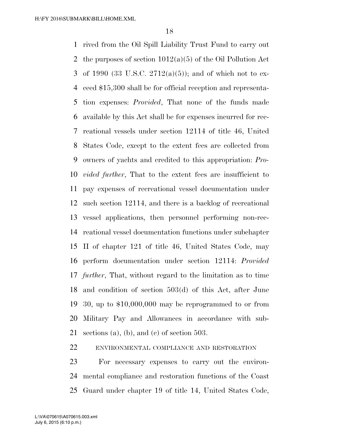rived from the Oil Spill Liability Trust Fund to carry out 2 the purposes of section  $1012(a)(5)$  of the Oil Pollution Act of 1990 (33 U.S.C. 2712(a)(5)); and of which not to ex- ceed \$15,300 shall be for official reception and representa- tion expenses: *Provided*, That none of the funds made available by this Act shall be for expenses incurred for rec- reational vessels under section 12114 of title 46, United States Code, except to the extent fees are collected from owners of yachts and credited to this appropriation: *Pro- vided further*, That to the extent fees are insufficient to pay expenses of recreational vessel documentation under such section 12114, and there is a backlog of recreational vessel applications, then personnel performing non-rec- reational vessel documentation functions under subchapter II of chapter 121 of title 46, United States Code, may perform documentation under section 12114: *Provided further*, That, without regard to the limitation as to time and condition of section 503(d) of this Act, after June 30, up to \$10,000,000 may be reprogrammed to or from Military Pay and Allowances in accordance with sub-sections (a), (b), and (c) of section 503.

ENVIRONMENTAL COMPLIANCE AND RESTORATION

 For necessary expenses to carry out the environ- mental compliance and restoration functions of the Coast Guard under chapter 19 of title 14, United States Code,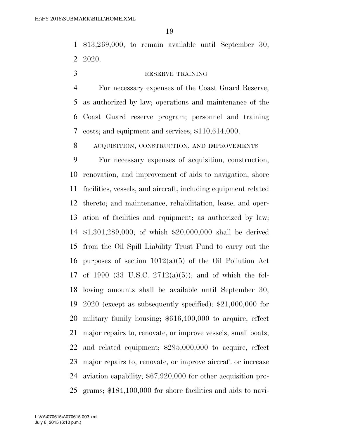\$13,269,000, to remain available until September 30, 2020.

## 3 RESERVE TRAINING

 For necessary expenses of the Coast Guard Reserve, as authorized by law; operations and maintenance of the Coast Guard reserve program; personnel and training costs; and equipment and services; \$110,614,000.

ACQUISITION, CONSTRUCTION, AND IMPROVEMENTS

 For necessary expenses of acquisition, construction, renovation, and improvement of aids to navigation, shore facilities, vessels, and aircraft, including equipment related thereto; and maintenance, rehabilitation, lease, and oper- ation of facilities and equipment; as authorized by law; \$1,301,289,000; of which \$20,000,000 shall be derived from the Oil Spill Liability Trust Fund to carry out the 16 purposes of section  $1012(a)(5)$  of the Oil Pollution Act of 1990 (33 U.S.C. 2712(a)(5)); and of which the fol- lowing amounts shall be available until September 30, 2020 (except as subsequently specified): \$21,000,000 for military family housing; \$616,400,000 to acquire, effect major repairs to, renovate, or improve vessels, small boats, and related equipment; \$295,000,000 to acquire, effect major repairs to, renovate, or improve aircraft or increase aviation capability; \$67,920,000 for other acquisition pro-grams; \$184,100,000 for shore facilities and aids to navi-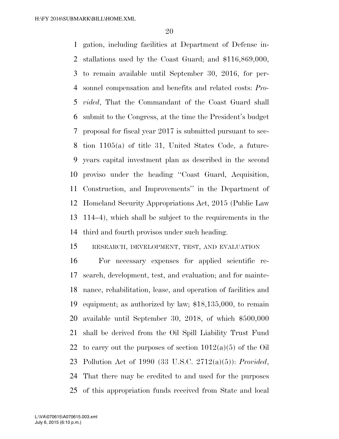gation, including facilities at Department of Defense in- stallations used by the Coast Guard; and \$116,869,000, to remain available until September 30, 2016, for per- sonnel compensation and benefits and related costs: *Pro- vided*, That the Commandant of the Coast Guard shall submit to the Congress, at the time the President's budget proposal for fiscal year 2017 is submitted pursuant to sec- tion 1105(a) of title 31, United States Code, a future- years capital investment plan as described in the second proviso under the heading ''Coast Guard, Acquisition, Construction, and Improvements'' in the Department of Homeland Security Appropriations Act, 2015 (Public Law 114–4), which shall be subject to the requirements in the third and fourth provisos under such heading.

# RESEARCH, DEVELOPMENT, TEST, AND EVALUATION

 For necessary expenses for applied scientific re- search, development, test, and evaluation; and for mainte- nance, rehabilitation, lease, and operation of facilities and equipment; as authorized by law; \$18,135,000, to remain available until September 30, 2018, of which \$500,000 shall be derived from the Oil Spill Liability Trust Fund 22 to carry out the purposes of section  $1012(a)(5)$  of the Oil Pollution Act of 1990 (33 U.S.C. 2712(a)(5)): *Provided*, That there may be credited to and used for the purposes of this appropriation funds received from State and local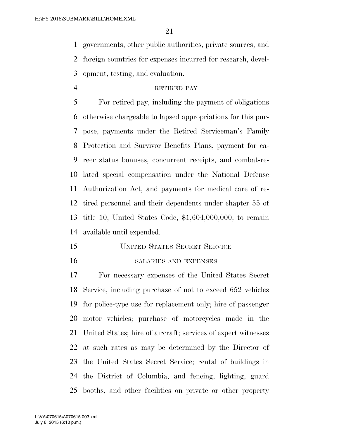governments, other public authorities, private sources, and foreign countries for expenses incurred for research, devel-opment, testing, and evaluation.

# RETIRED PAY

 For retired pay, including the payment of obligations otherwise chargeable to lapsed appropriations for this pur- pose, payments under the Retired Serviceman's Family Protection and Survivor Benefits Plans, payment for ca- reer status bonuses, concurrent receipts, and combat-re- lated special compensation under the National Defense Authorization Act, and payments for medical care of re- tired personnel and their dependents under chapter 55 of title 10, United States Code, \$1,604,000,000, to remain available until expended.

- UNITED STATES SECRET SERVICE
- 

#### SALARIES AND EXPENSES

 For necessary expenses of the United States Secret Service, including purchase of not to exceed 652 vehicles for police-type use for replacement only; hire of passenger motor vehicles; purchase of motorcycles made in the United States; hire of aircraft; services of expert witnesses at such rates as may be determined by the Director of the United States Secret Service; rental of buildings in the District of Columbia, and fencing, lighting, guard booths, and other facilities on private or other property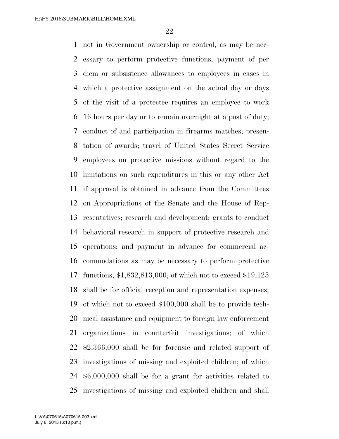not in Government ownership or control, as may be nec- essary to perform protective functions; payment of per diem or subsistence allowances to employees in cases in which a protective assignment on the actual day or days of the visit of a protectee requires an employee to work 16 hours per day or to remain overnight at a post of duty; conduct of and participation in firearms matches; presen- tation of awards; travel of United States Secret Service employees on protective missions without regard to the limitations on such expenditures in this or any other Act if approval is obtained in advance from the Committees on Appropriations of the Senate and the House of Rep- resentatives; research and development; grants to conduct behavioral research in support of protective research and operations; and payment in advance for commercial ac- commodations as may be necessary to perform protective functions; \$1,832,813,000; of which not to exceed \$19,125 shall be for official reception and representation expenses; of which not to exceed \$100,000 shall be to provide tech- nical assistance and equipment to foreign law enforcement organizations in counterfeit investigations; of which \$2,366,000 shall be for forensic and related support of investigations of missing and exploited children; of which \$6,000,000 shall be for a grant for activities related to investigations of missing and exploited children and shall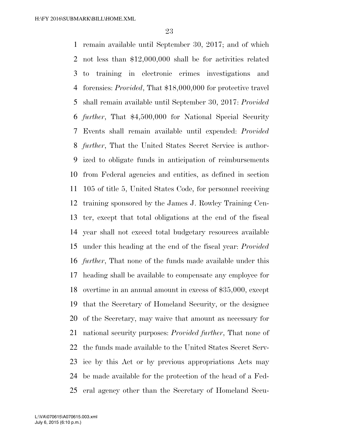remain available until September 30, 2017; and of which not less than \$12,000,000 shall be for activities related to training in electronic crimes investigations and forensics: *Provided*, That \$18,000,000 for protective travel shall remain available until September 30, 2017: *Provided further*, That \$4,500,000 for National Special Security Events shall remain available until expended: *Provided further*, That the United States Secret Service is author- ized to obligate funds in anticipation of reimbursements from Federal agencies and entities, as defined in section 105 of title 5, United States Code, for personnel receiving training sponsored by the James J. Rowley Training Cen- ter, except that total obligations at the end of the fiscal year shall not exceed total budgetary resources available under this heading at the end of the fiscal year: *Provided further*, That none of the funds made available under this heading shall be available to compensate any employee for overtime in an annual amount in excess of \$35,000, except that the Secretary of Homeland Security, or the designee of the Secretary, may waive that amount as necessary for national security purposes: *Provided further*, That none of the funds made available to the United States Secret Serv- ice by this Act or by previous appropriations Acts may be made available for the protection of the head of a Fed-eral agency other than the Secretary of Homeland Secu-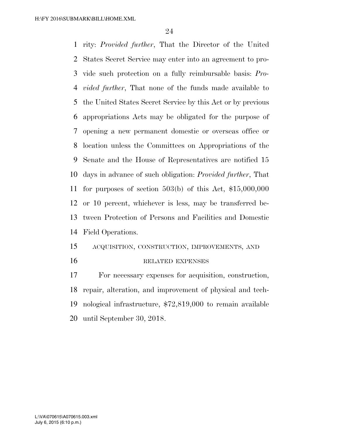rity: *Provided further*, That the Director of the United States Secret Service may enter into an agreement to pro- vide such protection on a fully reimbursable basis: *Pro- vided further*, That none of the funds made available to the United States Secret Service by this Act or by previous appropriations Acts may be obligated for the purpose of opening a new permanent domestic or overseas office or location unless the Committees on Appropriations of the Senate and the House of Representatives are notified 15 days in advance of such obligation: *Provided further*, That for purposes of section 503(b) of this Act, \$15,000,000 or 10 percent, whichever is less, may be transferred be- tween Protection of Persons and Facilities and Domestic Field Operations.

## ACQUISITION, CONSTRUCTION, IMPROVEMENTS, AND

#### 16 RELATED EXPENSES

 For necessary expenses for acquisition, construction, repair, alteration, and improvement of physical and tech- nological infrastructure, \$72,819,000 to remain available until September 30, 2018.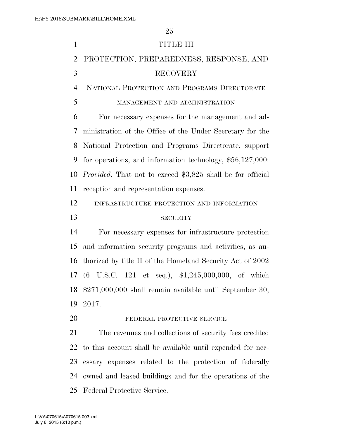| $\mathbf{1}$   | <b>TITLE III</b>                                                   |
|----------------|--------------------------------------------------------------------|
| $\overline{2}$ | PROTECTION, PREPAREDNESS, RESPONSE, AND                            |
| 3              | <b>RECOVERY</b>                                                    |
| $\overline{4}$ | NATIONAL PROTECTION AND PROGRAMS DIRECTORATE                       |
| 5              | MANAGEMENT AND ADMINISTRATION                                      |
| 6              | For necessary expenses for the management and ad-                  |
| 7              | ministration of the Office of the Under Secretary for the          |
| 8              | National Protection and Programs Directorate, support              |
| 9              | for operations, and information technology, $$56,127,000$ :        |
| 10             | <i>Provided</i> , That not to exceed \$3,825 shall be for official |
| 11             | reception and representation expenses.                             |
| 12             | INFRASTRUCTURE PROTECTION AND INFORMATION                          |
| 13             | <b>SECURITY</b>                                                    |
| 14             | For necessary expenses for infrastructure protection               |
| 15             | and information security programs and activities, as au-           |
| 16             | thorized by title II of the Homeland Security Act of 2002          |
|                | 17 (6 U.S.C. 121 et seq.), \$1,245,000,000, of which               |
| 18             | $$271,000,000$ shall remain available until September 30,          |
| 19             | 2017.                                                              |
| 20             | FEDERAL PROTECTIVE SERVICE                                         |
| 21             | The revenues and collections of security fees credited             |
| 22             | to this account shall be available until expended for nec-         |
| 23             | essary expenses related to the protection of federally             |
| 24             | owned and leased buildings and for the operations of the           |
| 25             | Federal Protective Service.                                        |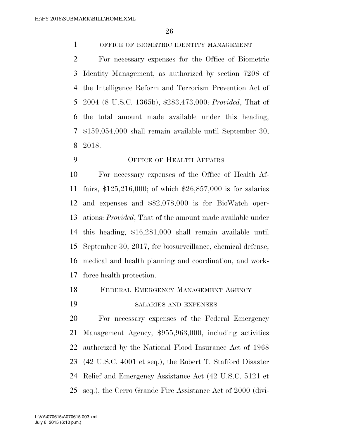OFFICE OF BIOMETRIC IDENTITY MANAGEMENT

 For necessary expenses for the Office of Biometric Identity Management, as authorized by section 7208 of the Intelligence Reform and Terrorism Prevention Act of 2004 (8 U.S.C. 1365b), \$283,473,000: *Provided*, That of the total amount made available under this heading, \$159,054,000 shall remain available until September 30, 2018.

OFFICE OF HEALTH AFFAIRS

 For necessary expenses of the Office of Health Af- fairs, \$125,216,000; of which \$26,857,000 is for salaries and expenses and \$82,078,000 is for BioWatch oper- ations: *Provided*, That of the amount made available under this heading, \$16,281,000 shall remain available until September 30, 2017, for biosurveillance, chemical defense, medical and health planning and coordination, and work-force health protection.

FEDERAL EMERGENCY MANAGEMENT AGENCY

SALARIES AND EXPENSES

 For necessary expenses of the Federal Emergency Management Agency, \$955,963,000, including activities authorized by the National Flood Insurance Act of 1968 (42 U.S.C. 4001 et seq.), the Robert T. Stafford Disaster Relief and Emergency Assistance Act (42 U.S.C. 5121 et seq.), the Cerro Grande Fire Assistance Act of 2000 (divi-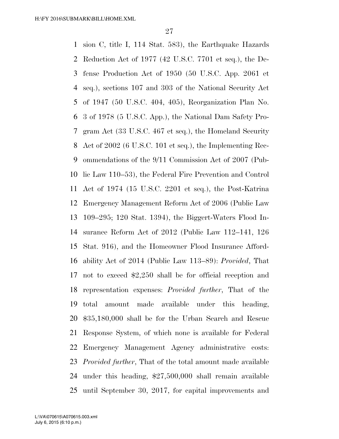sion C, title I, 114 Stat. 583), the Earthquake Hazards Reduction Act of 1977 (42 U.S.C. 7701 et seq.), the De- fense Production Act of 1950 (50 U.S.C. App. 2061 et seq.), sections 107 and 303 of the National Security Act of 1947 (50 U.S.C. 404, 405), Reorganization Plan No. 3 of 1978 (5 U.S.C. App.), the National Dam Safety Pro- gram Act (33 U.S.C. 467 et seq.), the Homeland Security Act of 2002 (6 U.S.C. 101 et seq.), the Implementing Rec- ommendations of the 9/11 Commission Act of 2007 (Pub- lic Law 110–53), the Federal Fire Prevention and Control Act of 1974 (15 U.S.C. 2201 et seq.), the Post-Katrina Emergency Management Reform Act of 2006 (Public Law 109–295; 120 Stat. 1394), the Biggert-Waters Flood In- surance Reform Act of 2012 (Public Law 112–141, 126 Stat. 916), and the Homeowner Flood Insurance Afford- ability Act of 2014 (Public Law 113–89): *Provided*, That not to exceed \$2,250 shall be for official reception and representation expenses: *Provided further*, That of the total amount made available under this heading, \$35,180,000 shall be for the Urban Search and Rescue Response System, of which none is available for Federal Emergency Management Agency administrative costs: *Provided further*, That of the total amount made available under this heading, \$27,500,000 shall remain available until September 30, 2017, for capital improvements and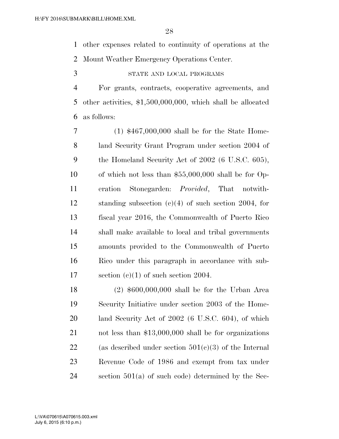other expenses related to continuity of operations at the Mount Weather Emergency Operations Center.

STATE AND LOCAL PROGRAMS

 For grants, contracts, cooperative agreements, and other activities, \$1,500,000,000, which shall be allocated as follows:

 (1) \$467,000,000 shall be for the State Home- land Security Grant Program under section 2004 of the Homeland Security Act of 2002 (6 U.S.C. 605), of which not less than \$55,000,000 shall be for Op- eration Stonegarden: *Provided*, That notwith- standing subsection (c)(4) of such section 2004, for fiscal year 2016, the Commonwealth of Puerto Rico shall make available to local and tribal governments amounts provided to the Commonwealth of Puerto Rico under this paragraph in accordance with sub-17 section  $(c)(1)$  of such section 2004.

 (2) \$600,000,000 shall be for the Urban Area Security Initiative under section 2003 of the Home- land Security Act of 2002 (6 U.S.C. 604), of which not less than \$13,000,000 shall be for organizations 22 (as described under section  $501(c)(3)$  of the Internal Revenue Code of 1986 and exempt from tax under section 501(a) of such code) determined by the Sec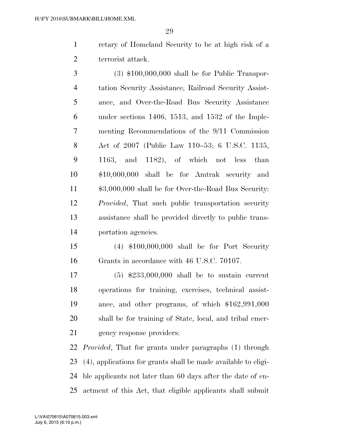retary of Homeland Security to be at high risk of a terrorist attack.

 (3) \$100,000,000 shall be for Public Transpor- tation Security Assistance, Railroad Security Assist- ance, and Over-the-Road Bus Security Assistance under sections 1406, 1513, and 1532 of the Imple- menting Recommendations of the 9/11 Commission Act of 2007 (Public Law 110–53; 6 U.S.C. 1135, 1163, and 1182), of which not less than \$10,000,000 shall be for Amtrak security and \$3,000,000 shall be for Over-the-Road Bus Security: *Provided*, That such public transportation security assistance shall be provided directly to public trans-portation agencies.

 (4) \$100,000,000 shall be for Port Security Grants in accordance with 46 U.S.C. 70107.

 (5) \$233,000,000 shall be to sustain current operations for training, exercises, technical assist- ance, and other programs, of which \$162,991,000 shall be for training of State, local, and tribal emer-gency response providers:

 *Provided*, That for grants under paragraphs (1) through (4), applications for grants shall be made available to eligi- ble applicants not later than 60 days after the date of en-actment of this Act, that eligible applicants shall submit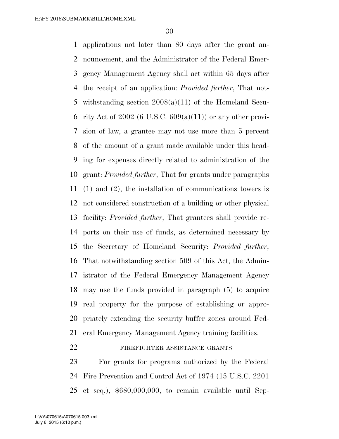applications not later than 80 days after the grant an- nouncement, and the Administrator of the Federal Emer- gency Management Agency shall act within 65 days after the receipt of an application: *Provided further*, That not- withstanding section 2008(a)(11) of the Homeland Secu-6 rity Act of 2002 (6 U.S.C.  $609(a)(11)$ ) or any other provi- sion of law, a grantee may not use more than 5 percent of the amount of a grant made available under this head- ing for expenses directly related to administration of the grant: *Provided further*, That for grants under paragraphs (1) and (2), the installation of communications towers is not considered construction of a building or other physical facility: *Provided further*, That grantees shall provide re- ports on their use of funds, as determined necessary by the Secretary of Homeland Security: *Provided further*, That notwithstanding section 509 of this Act, the Admin- istrator of the Federal Emergency Management Agency may use the funds provided in paragraph (5) to acquire real property for the purpose of establishing or appro- priately extending the security buffer zones around Fed-eral Emergency Management Agency training facilities.

# 22 FIREFIGHTER ASSISTANCE GRANTS

 For grants for programs authorized by the Federal Fire Prevention and Control Act of 1974 (15 U.S.C. 2201 et seq.), \$680,000,000, to remain available until Sep-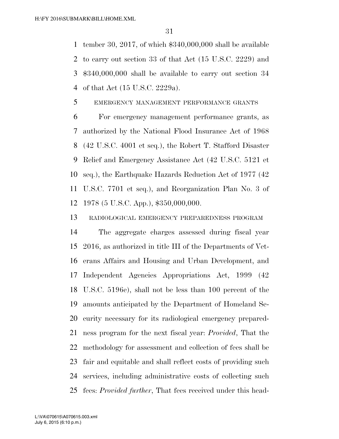tember 30, 2017, of which \$340,000,000 shall be available to carry out section 33 of that Act (15 U.S.C. 2229) and \$340,000,000 shall be available to carry out section 34 of that Act (15 U.S.C. 2229a).

## EMERGENCY MANAGEMENT PERFORMANCE GRANTS

 For emergency management performance grants, as authorized by the National Flood Insurance Act of 1968 (42 U.S.C. 4001 et seq.), the Robert T. Stafford Disaster Relief and Emergency Assistance Act (42 U.S.C. 5121 et seq.), the Earthquake Hazards Reduction Act of 1977 (42 U.S.C. 7701 et seq.), and Reorganization Plan No. 3 of 1978 (5 U.S.C. App.), \$350,000,000.

RADIOLOGICAL EMERGENCY PREPAREDNESS PROGRAM

 The aggregate charges assessed during fiscal year 2016, as authorized in title III of the Departments of Vet- erans Affairs and Housing and Urban Development, and Independent Agencies Appropriations Act, 1999 (42 U.S.C. 5196e), shall not be less than 100 percent of the amounts anticipated by the Department of Homeland Se- curity necessary for its radiological emergency prepared- ness program for the next fiscal year: *Provided*, That the methodology for assessment and collection of fees shall be fair and equitable and shall reflect costs of providing such services, including administrative costs of collecting such fees: *Provided further*, That fees received under this head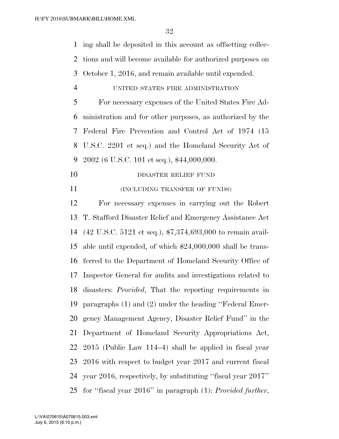ing shall be deposited in this account as offsetting collec- tions and will become available for authorized purposes on October 1, 2016, and remain available until expended.

UNITED STATES FIRE ADMINISTRATION

 For necessary expenses of the United States Fire Ad- ministration and for other purposes, as authorized by the Federal Fire Prevention and Control Act of 1974 (15 U.S.C. 2201 et seq.) and the Homeland Security Act of 9 2002 (6 U.S.C. 101 et seq.),  $$44,000,000$ .

- 10 DISASTER RELIEF FUND
- 11 (INCLUDING TRANSFER OF FUNDS)

 For necessary expenses in carrying out the Robert T. Stafford Disaster Relief and Emergency Assistance Act (42 U.S.C. 5121 et seq.), \$7,374,693,000 to remain avail- able until expended, of which \$24,000,000 shall be trans- ferred to the Department of Homeland Security Office of Inspector General for audits and investigations related to disasters: *Provided*, That the reporting requirements in paragraphs (1) and (2) under the heading ''Federal Emer- gency Management Agency, Disaster Relief Fund'' in the Department of Homeland Security Appropriations Act, 2015 (Public Law 114–4) shall be applied in fiscal year 2016 with respect to budget year 2017 and current fiscal year 2016, respectively, by substituting ''fiscal year 2017'' for ''fiscal year 2016'' in paragraph (1): *Provided further*,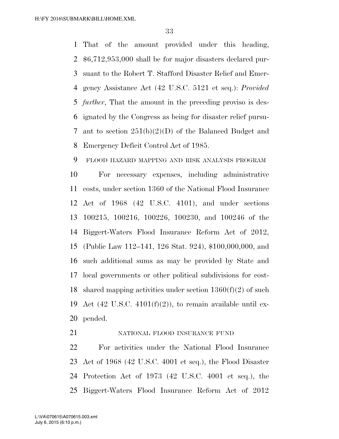That of the amount provided under this heading, \$6,712,953,000 shall be for major disasters declared pur- suant to the Robert T. Stafford Disaster Relief and Emer- gency Assistance Act (42 U.S.C. 5121 et seq.): *Provided further*, That the amount in the preceding proviso is des- ignated by the Congress as being for disaster relief pursu- ant to section 251(b)(2)(D) of the Balanced Budget and Emergency Deficit Control Act of 1985.

 FLOOD HAZARD MAPPING AND RISK ANALYSIS PROGRAM For necessary expenses, including administrative costs, under section 1360 of the National Flood Insurance Act of 1968 (42 U.S.C. 4101), and under sections 100215, 100216, 100226, 100230, and 100246 of the Biggert-Waters Flood Insurance Reform Act of 2012, (Public Law 112–141, 126 Stat. 924), \$100,000,000, and such additional sums as may be provided by State and local governments or other political subdivisions for cost-18 shared mapping activities under section  $1360(f)(2)$  of such 19 Act (42 U.S.C.  $4101(f)(2)$ ), to remain available until ex-pended.

## NATIONAL FLOOD INSURANCE FUND

 For activities under the National Flood Insurance Act of 1968 (42 U.S.C. 4001 et seq.), the Flood Disaster Protection Act of 1973 (42 U.S.C. 4001 et seq.), the Biggert-Waters Flood Insurance Reform Act of 2012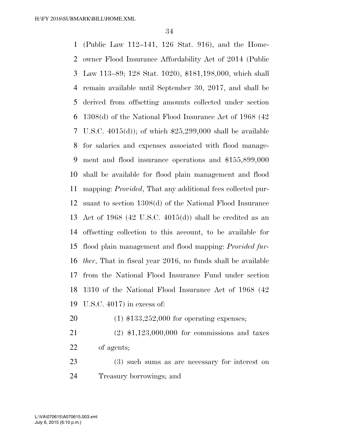(Public Law 112–141, 126 Stat. 916), and the Home- owner Flood Insurance Affordability Act of 2014 (Public Law 113–89; 128 Stat. 1020), \$181,198,000, which shall remain available until September 30, 2017, and shall be derived from offsetting amounts collected under section 1308(d) of the National Flood Insurance Act of 1968 (42 U.S.C. 4015(d)); of which \$25,299,000 shall be available for salaries and expenses associated with flood manage- ment and flood insurance operations and \$155,899,000 shall be available for flood plain management and flood mapping: *Provided*, That any additional fees collected pur- suant to section 1308(d) of the National Flood Insurance Act of 1968 (42 U.S.C. 4015(d)) shall be credited as an offsetting collection to this account, to be available for flood plain management and flood mapping: *Provided fur- ther*, That in fiscal year 2016, no funds shall be available from the National Flood Insurance Fund under section 1310 of the National Flood Insurance Act of 1968 (42 U.S.C. 4017) in excess of:

- (1) \$133,252,000 for operating expenses;
- (2) \$1,123,000,000 for commissions and taxes of agents;
- (3) such sums as are necessary for interest on Treasury borrowings; and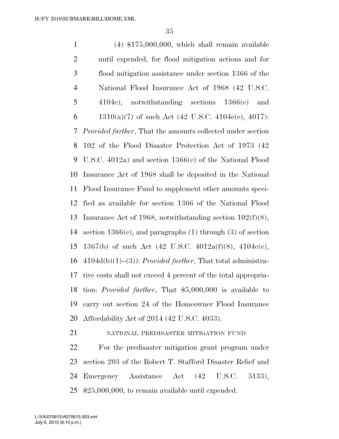(4) \$175,000,000, which shall remain available until expended, for flood mitigation actions and for flood mitigation assistance under section 1366 of the National Flood Insurance Act of 1968 (42 U.S.C. 4104c), notwithstanding sections 1366(e) and 6 1310(a)(7) of such Act (42 U.S.C. 4104c(e), 4017): *Provided further*, That the amounts collected under section 102 of the Flood Disaster Protection Act of 1973 (42 U.S.C. 4012a) and section 1366(e) of the National Flood Insurance Act of 1968 shall be deposited in the National Flood Insurance Fund to supplement other amounts speci- fied as available for section 1366 of the National Flood Insurance Act of 1968, notwithstanding section 102(f)(8), section 1366(e), and paragraphs (1) through (3) of section 1367(b) of such Act (42 U.S.C. 4012a(f)(8), 4104c(e), 4104d(b)(1)–(3)): *Provided further*, That total administra- tive costs shall not exceed 4 percent of the total appropria- tion: *Provided further*, That \$5,000,000 is available to carry out section 24 of the Homeowner Flood Insurance Affordability Act of 2014 (42 U.S.C. 4033). NATIONAL PREDISASTER MITIGATION FUND

 For the predisaster mitigation grant program under section 203 of the Robert T. Stafford Disaster Relief and Emergency Assistance Act (42 U.S.C. 5133), \$25,000,000, to remain available until expended.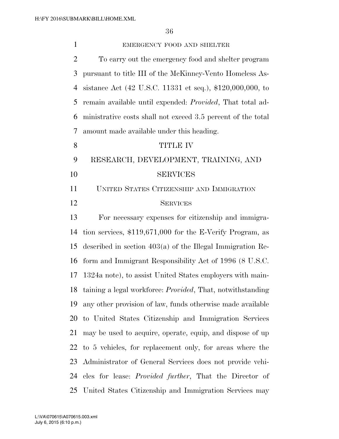| $\mathbf{1}$   | EMERGENCY FOOD AND SHELTER                                            |
|----------------|-----------------------------------------------------------------------|
| $\overline{2}$ | To carry out the emergency food and shelter program                   |
| 3              | pursuant to title III of the McKinney-Vento Homeless As-              |
| $\overline{4}$ | sistance Act (42 U.S.C. 11331 et seq.), \$120,000,000, to             |
| 5              | remain available until expended: <i>Provided</i> , That total ad-     |
| 6              | ministrative costs shall not exceed 3.5 percent of the total          |
| 7              | amount made available under this heading.                             |
| 8              | <b>TITLE IV</b>                                                       |
| 9              | RESEARCH, DEVELOPMENT, TRAINING, AND                                  |
| 10             | <b>SERVICES</b>                                                       |
| 11             | UNITED STATES CITIZENSHIP AND IMMIGRATION                             |
| 12             | <b>SERVICES</b>                                                       |
| 13             | For necessary expenses for citizenship and immigra-                   |
| 14             | tion services, $$119,671,000$ for the E-Verify Program, as            |
| 15             | described in section $403(a)$ of the Illegal Immigration Re-          |
| 16             | form and Immigrant Responsibility Act of 1996 (8 U.S.C.               |
| 17             | 1324a note), to assist United States employers with main-             |
|                | 18 taining a legal workforce: <i>Provided</i> , That, notwithstanding |
| 19             | any other provision of law, funds otherwise made available            |
| 20             | to United States Citizenship and Immigration Services                 |
| 21             | may be used to acquire, operate, equip, and dispose of up             |
| 22             | to 5 vehicles, for replacement only, for areas where the              |
| 23             | Administrator of General Services does not provide vehi-              |
|                | 24 cles for lease: <i>Provided further</i> , That the Director of     |
| 25             | United States Citizenship and Immigration Services may                |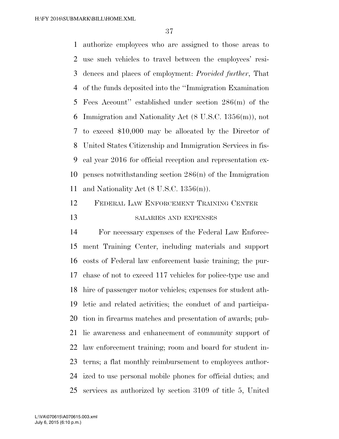authorize employees who are assigned to those areas to use such vehicles to travel between the employees' resi- dences and places of employment: *Provided further*, That of the funds deposited into the ''Immigration Examination Fees Account'' established under section 286(m) of the Immigration and Nationality Act (8 U.S.C. 1356(m)), not to exceed \$10,000 may be allocated by the Director of United States Citizenship and Immigration Services in fis- cal year 2016 for official reception and representation ex- penses notwithstanding section 286(n) of the Immigration and Nationality Act (8 U.S.C. 1356(n)).

# FEDERAL LAW ENFORCEMENT TRAINING CENTER 13 SALARIES AND EXPENSES

 For necessary expenses of the Federal Law Enforce- ment Training Center, including materials and support costs of Federal law enforcement basic training; the pur- chase of not to exceed 117 vehicles for police-type use and hire of passenger motor vehicles; expenses for student ath- letic and related activities; the conduct of and participa- tion in firearms matches and presentation of awards; pub- lic awareness and enhancement of community support of law enforcement training; room and board for student in- terns; a flat monthly reimbursement to employees author- ized to use personal mobile phones for official duties; and services as authorized by section 3109 of title 5, United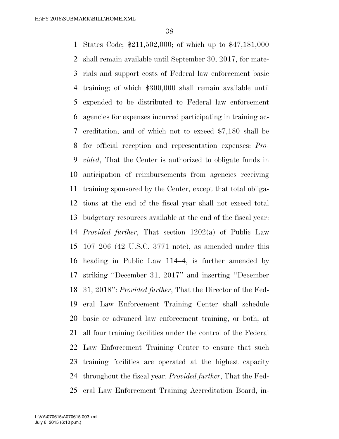States Code; \$211,502,000; of which up to \$47,181,000 shall remain available until September 30, 2017, for mate- rials and support costs of Federal law enforcement basic training; of which \$300,000 shall remain available until expended to be distributed to Federal law enforcement agencies for expenses incurred participating in training ac- creditation; and of which not to exceed \$7,180 shall be for official reception and representation expenses: *Pro- vided*, That the Center is authorized to obligate funds in anticipation of reimbursements from agencies receiving training sponsored by the Center, except that total obliga- tions at the end of the fiscal year shall not exceed total budgetary resources available at the end of the fiscal year: *Provided further*, That section 1202(a) of Public Law 107–206 (42 U.S.C. 3771 note), as amended under this heading in Public Law 114–4, is further amended by striking ''December 31, 2017'' and inserting ''December 31, 2018'': *Provided further*, That the Director of the Fed- eral Law Enforcement Training Center shall schedule basic or advanced law enforcement training, or both, at all four training facilities under the control of the Federal Law Enforcement Training Center to ensure that such training facilities are operated at the highest capacity throughout the fiscal year: *Provided further*, That the Fed-eral Law Enforcement Training Accreditation Board, in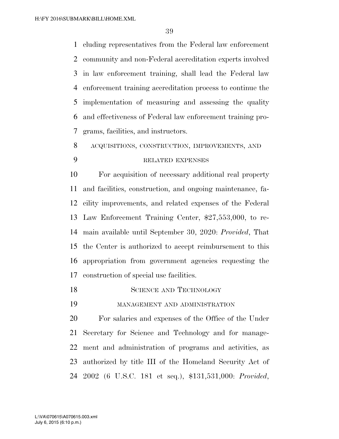cluding representatives from the Federal law enforcement community and non-Federal accreditation experts involved in law enforcement training, shall lead the Federal law enforcement training accreditation process to continue the implementation of measuring and assessing the quality and effectiveness of Federal law enforcement training pro-grams, facilities, and instructors.

ACQUISITIONS, CONSTRUCTION, IMPROVEMENTS, AND

## RELATED EXPENSES

 For acquisition of necessary additional real property and facilities, construction, and ongoing maintenance, fa- cility improvements, and related expenses of the Federal Law Enforcement Training Center, \$27,553,000, to re- main available until September 30, 2020: *Provided*, That the Center is authorized to accept reimbursement to this appropriation from government agencies requesting the construction of special use facilities.

- 18 SCIENCE AND TECHNOLOGY
- MANAGEMENT AND ADMINISTRATION

 For salaries and expenses of the Office of the Under Secretary for Science and Technology and for manage- ment and administration of programs and activities, as authorized by title III of the Homeland Security Act of 2002 (6 U.S.C. 181 et seq.), \$131,531,000: *Provided*,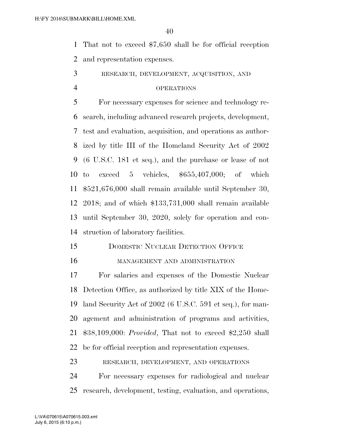That not to exceed \$7,650 shall be for official reception and representation expenses.

RESEARCH, DEVELOPMENT, ACQUISITION, AND

#### OPERATIONS

 For necessary expenses for science and technology re- search, including advanced research projects, development, test and evaluation, acquisition, and operations as author- ized by title III of the Homeland Security Act of 2002 (6 U.S.C. 181 et seq.), and the purchase or lease of not to exceed 5 vehicles, \$655,407,000; of which \$521,676,000 shall remain available until September 30, 2018; and of which \$133,731,000 shall remain available until September 30, 2020, solely for operation and con-struction of laboratory facilities.

## 15 DOMESTIC NUCLEAR DETECTION OFFICE

#### MANAGEMENT AND ADMINISTRATION

 For salaries and expenses of the Domestic Nuclear Detection Office, as authorized by title XIX of the Home- land Security Act of 2002 (6 U.S.C. 591 et seq.), for man- agement and administration of programs and activities, \$38,109,000: *Provided*, That not to exceed \$2,250 shall be for official reception and representation expenses.

RESEARCH, DEVELOPMENT, AND OPERATIONS

 For necessary expenses for radiological and nuclear research, development, testing, evaluation, and operations,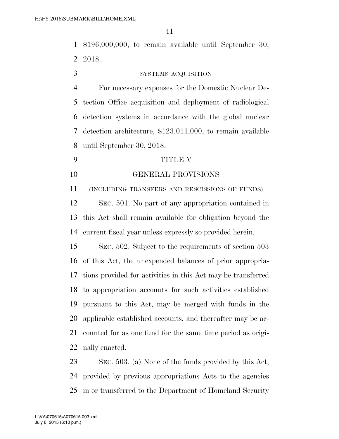\$196,000,000, to remain available until September 30, 2018.

### SYSTEMS ACQUISITION

 For necessary expenses for the Domestic Nuclear De- tection Office acquisition and deployment of radiological detection systems in accordance with the global nuclear detection architecture, \$123,011,000, to remain available until September 30, 2018.

- TITLE V
- GENERAL PROVISIONS

(INCLUDING TRANSFERS AND RESCISSIONS OF FUNDS)

 SEC. 501. No part of any appropriation contained in this Act shall remain available for obligation beyond the current fiscal year unless expressly so provided herein.

 SEC. 502. Subject to the requirements of section 503 of this Act, the unexpended balances of prior appropria- tions provided for activities in this Act may be transferred to appropriation accounts for such activities established pursuant to this Act, may be merged with funds in the applicable established accounts, and thereafter may be ac- counted for as one fund for the same time period as origi-nally enacted.

 SEC. 503. (a) None of the funds provided by this Act, provided by previous appropriations Acts to the agencies in or transferred to the Department of Homeland Security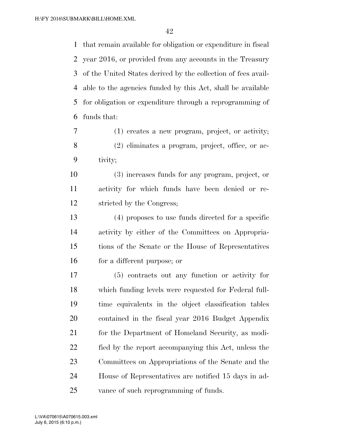that remain available for obligation or expenditure in fiscal year 2016, or provided from any accounts in the Treasury of the United States derived by the collection of fees avail- able to the agencies funded by this Act, shall be available for obligation or expenditure through a reprogramming of funds that:

 (1) creates a new program, project, or activity; (2) eliminates a program, project, office, or ac-tivity;

 (3) increases funds for any program, project, or activity for which funds have been denied or re-stricted by the Congress;

 (4) proposes to use funds directed for a specific activity by either of the Committees on Appropria- tions of the Senate or the House of Representatives for a different purpose; or

 (5) contracts out any function or activity for which funding levels were requested for Federal full- time equivalents in the object classification tables contained in the fiscal year 2016 Budget Appendix for the Department of Homeland Security, as modi- fied by the report accompanying this Act, unless the Committees on Appropriations of the Senate and the House of Representatives are notified 15 days in ad-vance of such reprogramming of funds.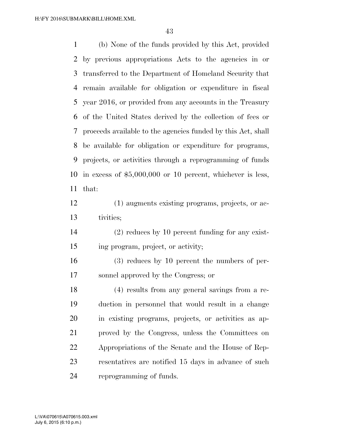(b) None of the funds provided by this Act, provided by previous appropriations Acts to the agencies in or transferred to the Department of Homeland Security that remain available for obligation or expenditure in fiscal year 2016, or provided from any accounts in the Treasury of the United States derived by the collection of fees or proceeds available to the agencies funded by this Act, shall be available for obligation or expenditure for programs, projects, or activities through a reprogramming of funds in excess of \$5,000,000 or 10 percent, whichever is less, that:

- (1) augments existing programs, projects, or ac-tivities;
- (2) reduces by 10 percent funding for any exist-ing program, project, or activity;
- (3) reduces by 10 percent the numbers of per-sonnel approved by the Congress; or

 (4) results from any general savings from a re- duction in personnel that would result in a change in existing programs, projects, or activities as ap- proved by the Congress, unless the Committees on Appropriations of the Senate and the House of Rep- resentatives are notified 15 days in advance of such reprogramming of funds.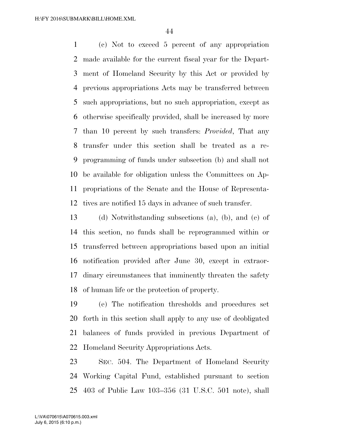(c) Not to exceed 5 percent of any appropriation made available for the current fiscal year for the Depart- ment of Homeland Security by this Act or provided by previous appropriations Acts may be transferred between such appropriations, but no such appropriation, except as otherwise specifically provided, shall be increased by more than 10 percent by such transfers: *Provided*, That any transfer under this section shall be treated as a re- programming of funds under subsection (b) and shall not be available for obligation unless the Committees on Ap- propriations of the Senate and the House of Representa-tives are notified 15 days in advance of such transfer.

 (d) Notwithstanding subsections (a), (b), and (c) of this section, no funds shall be reprogrammed within or transferred between appropriations based upon an initial notification provided after June 30, except in extraor- dinary circumstances that imminently threaten the safety of human life or the protection of property.

 (e) The notification thresholds and procedures set forth in this section shall apply to any use of deobligated balances of funds provided in previous Department of Homeland Security Appropriations Acts.

 SEC. 504. The Department of Homeland Security Working Capital Fund, established pursuant to section 403 of Public Law 103–356 (31 U.S.C. 501 note), shall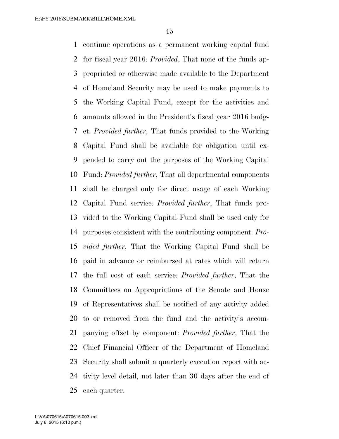continue operations as a permanent working capital fund for fiscal year 2016: *Provided*, That none of the funds ap- propriated or otherwise made available to the Department of Homeland Security may be used to make payments to the Working Capital Fund, except for the activities and amounts allowed in the President's fiscal year 2016 budg- et: *Provided further*, That funds provided to the Working Capital Fund shall be available for obligation until ex- pended to carry out the purposes of the Working Capital Fund: *Provided further*, That all departmental components shall be charged only for direct usage of each Working Capital Fund service: *Provided further*, That funds pro- vided to the Working Capital Fund shall be used only for purposes consistent with the contributing component: *Pro- vided further*, That the Working Capital Fund shall be paid in advance or reimbursed at rates which will return the full cost of each service: *Provided further*, That the Committees on Appropriations of the Senate and House of Representatives shall be notified of any activity added to or removed from the fund and the activity's accom- panying offset by component: *Provided further*, That the Chief Financial Officer of the Department of Homeland Security shall submit a quarterly execution report with ac- tivity level detail, not later than 30 days after the end of each quarter.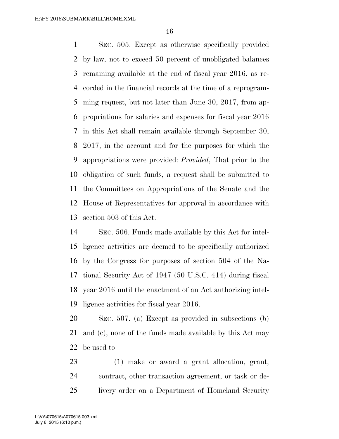SEC. 505. Except as otherwise specifically provided by law, not to exceed 50 percent of unobligated balances remaining available at the end of fiscal year 2016, as re- corded in the financial records at the time of a reprogram- ming request, but not later than June 30, 2017, from ap- propriations for salaries and expenses for fiscal year 2016 in this Act shall remain available through September 30, 2017, in the account and for the purposes for which the appropriations were provided: *Provided*, That prior to the obligation of such funds, a request shall be submitted to the Committees on Appropriations of the Senate and the House of Representatives for approval in accordance with section 503 of this Act.

 SEC. 506. Funds made available by this Act for intel- ligence activities are deemed to be specifically authorized by the Congress for purposes of section 504 of the Na- tional Security Act of 1947 (50 U.S.C. 414) during fiscal year 2016 until the enactment of an Act authorizing intel-ligence activities for fiscal year 2016.

 SEC. 507. (a) Except as provided in subsections (b) and (c), none of the funds made available by this Act may be used to—

 (1) make or award a grant allocation, grant, contract, other transaction agreement, or task or de-livery order on a Department of Homeland Security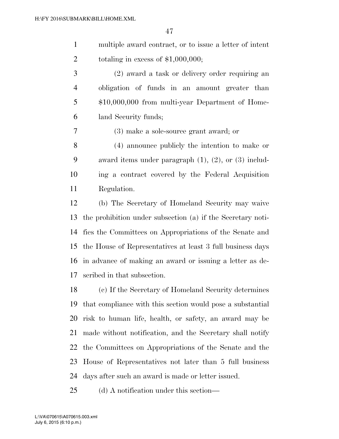multiple award contract, or to issue a letter of intent 2 totaling in excess of  $$1,000,000;$ 

 (2) award a task or delivery order requiring an obligation of funds in an amount greater than \$10,000,000 from multi-year Department of Home-land Security funds;

(3) make a sole-source grant award; or

 (4) announce publicly the intention to make or award items under paragraph (1), (2), or (3) includ- ing a contract covered by the Federal Acquisition Regulation.

 (b) The Secretary of Homeland Security may waive the prohibition under subsection (a) if the Secretary noti- fies the Committees on Appropriations of the Senate and the House of Representatives at least 3 full business days in advance of making an award or issuing a letter as de-scribed in that subsection.

 (c) If the Secretary of Homeland Security determines that compliance with this section would pose a substantial risk to human life, health, or safety, an award may be made without notification, and the Secretary shall notify the Committees on Appropriations of the Senate and the House of Representatives not later than 5 full business days after such an award is made or letter issued.

(d) A notification under this section—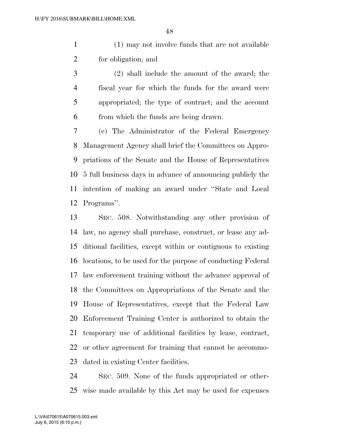(1) may not involve funds that are not available for obligation; and

 (2) shall include the amount of the award; the fiscal year for which the funds for the award were appropriated; the type of contract; and the account from which the funds are being drawn.

 (e) The Administrator of the Federal Emergency Management Agency shall brief the Committees on Appro- priations of the Senate and the House of Representatives 5 full business days in advance of announcing publicly the intention of making an award under ''State and Local Programs''.

 SEC. 508. Notwithstanding any other provision of law, no agency shall purchase, construct, or lease any ad- ditional facilities, except within or contiguous to existing locations, to be used for the purpose of conducting Federal law enforcement training without the advance approval of the Committees on Appropriations of the Senate and the House of Representatives, except that the Federal Law Enforcement Training Center is authorized to obtain the temporary use of additional facilities by lease, contract, or other agreement for training that cannot be accommo-dated in existing Center facilities.

 SEC. 509. None of the funds appropriated or other-wise made available by this Act may be used for expenses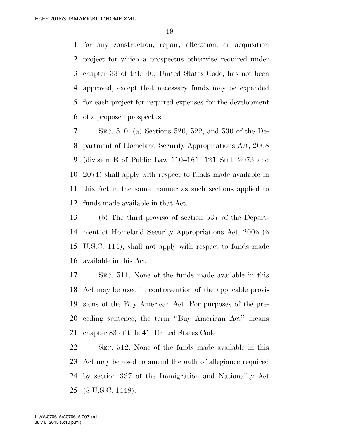for any construction, repair, alteration, or acquisition project for which a prospectus otherwise required under chapter 33 of title 40, United States Code, has not been approved, except that necessary funds may be expended for each project for required expenses for the development of a proposed prospectus.

 SEC. 510. (a) Sections 520, 522, and 530 of the De- partment of Homeland Security Appropriations Act, 2008 (division E of Public Law 110–161; 121 Stat. 2073 and 2074) shall apply with respect to funds made available in this Act in the same manner as such sections applied to funds made available in that Act.

 (b) The third proviso of section 537 of the Depart- ment of Homeland Security Appropriations Act, 2006 (6 U.S.C. 114), shall not apply with respect to funds made available in this Act.

 SEC. 511. None of the funds made available in this Act may be used in contravention of the applicable provi- sions of the Buy American Act. For purposes of the pre- ceding sentence, the term ''Buy American Act'' means chapter 83 of title 41, United States Code.

 SEC. 512. None of the funds made available in this Act may be used to amend the oath of allegiance required by section 337 of the Immigration and Nationality Act (8 U.S.C. 1448).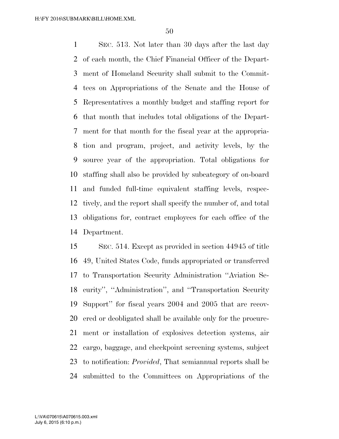SEC. 513. Not later than 30 days after the last day of each month, the Chief Financial Officer of the Depart- ment of Homeland Security shall submit to the Commit- tees on Appropriations of the Senate and the House of Representatives a monthly budget and staffing report for that month that includes total obligations of the Depart- ment for that month for the fiscal year at the appropria- tion and program, project, and activity levels, by the source year of the appropriation. Total obligations for staffing shall also be provided by subcategory of on-board and funded full-time equivalent staffing levels, respec- tively, and the report shall specify the number of, and total obligations for, contract employees for each office of the Department.

 SEC. 514. Except as provided in section 44945 of title 49, United States Code, funds appropriated or transferred to Transportation Security Administration ''Aviation Se- curity'', ''Administration'', and ''Transportation Security Support'' for fiscal years 2004 and 2005 that are recov- ered or deobligated shall be available only for the procure- ment or installation of explosives detection systems, air cargo, baggage, and checkpoint screening systems, subject to notification: *Provided*, That semiannual reports shall be submitted to the Committees on Appropriations of the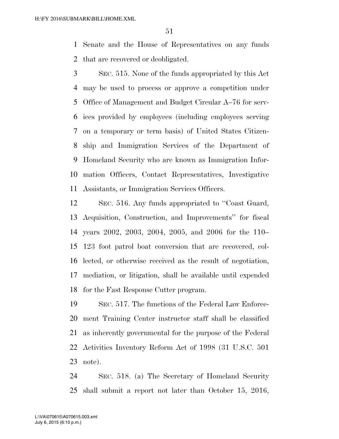Senate and the House of Representatives on any funds that are recovered or deobligated.

 SEC. 515. None of the funds appropriated by this Act may be used to process or approve a competition under Office of Management and Budget Circular A–76 for serv- ices provided by employees (including employees serving on a temporary or term basis) of United States Citizen- ship and Immigration Services of the Department of Homeland Security who are known as Immigration Infor- mation Officers, Contact Representatives, Investigative Assistants, or Immigration Services Officers.

 SEC. 516. Any funds appropriated to ''Coast Guard, Acquisition, Construction, and Improvements'' for fiscal years 2002, 2003, 2004, 2005, and 2006 for the 110– 123 foot patrol boat conversion that are recovered, col- lected, or otherwise received as the result of negotiation, mediation, or litigation, shall be available until expended for the Fast Response Cutter program.

 SEC. 517. The functions of the Federal Law Enforce- ment Training Center instructor staff shall be classified as inherently governmental for the purpose of the Federal Activities Inventory Reform Act of 1998 (31 U.S.C. 501 note).

 SEC. 518. (a) The Secretary of Homeland Security shall submit a report not later than October 15, 2016,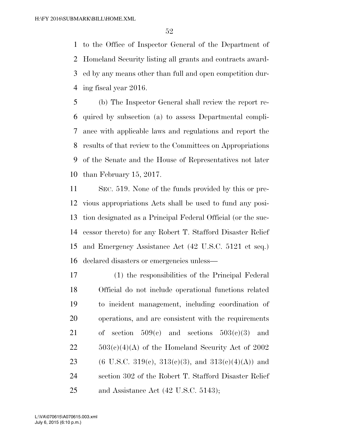to the Office of Inspector General of the Department of Homeland Security listing all grants and contracts award- ed by any means other than full and open competition dur-ing fiscal year 2016.

 (b) The Inspector General shall review the report re- quired by subsection (a) to assess Departmental compli- ance with applicable laws and regulations and report the results of that review to the Committees on Appropriations of the Senate and the House of Representatives not later than February 15, 2017.

 SEC. 519. None of the funds provided by this or pre- vious appropriations Acts shall be used to fund any posi- tion designated as a Principal Federal Official (or the suc- cessor thereto) for any Robert T. Stafford Disaster Relief and Emergency Assistance Act (42 U.S.C. 5121 et seq.) declared disasters or emergencies unless—

 (1) the responsibilities of the Principal Federal Official do not include operational functions related to incident management, including coordination of operations, and are consistent with the requirements 21 of section  $509(c)$  and sections  $503(c)(3)$  and  $22 \qquad 503(c)(4)(A)$  of the Homeland Security Act of 2002 23 (6 U.S.C. 319(c), 313(c)(3), and 313(e)(4)(A)) and section 302 of the Robert T. Stafford Disaster Relief 25 and Assistance Act (42 U.S.C. 5143);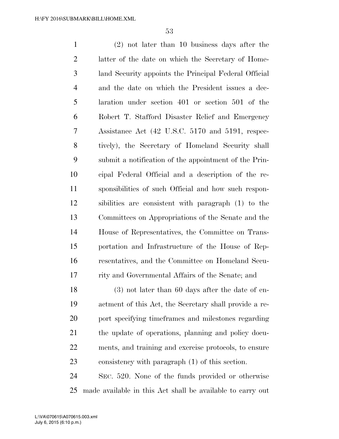(2) not later than 10 business days after the latter of the date on which the Secretary of Home- land Security appoints the Principal Federal Official and the date on which the President issues a dec- laration under section 401 or section 501 of the Robert T. Stafford Disaster Relief and Emergency Assistance Act (42 U.S.C. 5170 and 5191, respec- tively), the Secretary of Homeland Security shall submit a notification of the appointment of the Prin- cipal Federal Official and a description of the re- sponsibilities of such Official and how such respon- sibilities are consistent with paragraph (1) to the Committees on Appropriations of the Senate and the House of Representatives, the Committee on Trans- portation and Infrastructure of the House of Rep- resentatives, and the Committee on Homeland Secu- rity and Governmental Affairs of the Senate; and (3) not later than 60 days after the date of en- actment of this Act, the Secretary shall provide a re- port specifying timeframes and milestones regarding the update of operations, planning and policy docu-ments, and training and exercise protocols, to ensure

consistency with paragraph (1) of this section.

 SEC. 520. None of the funds provided or otherwise made available in this Act shall be available to carry out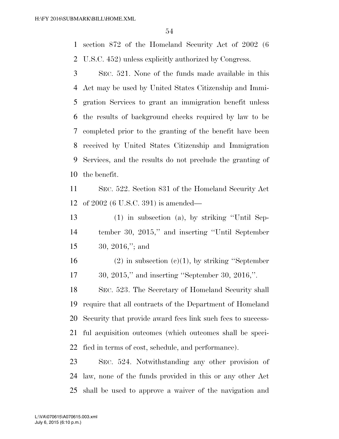section 872 of the Homeland Security Act of 2002 (6 U.S.C. 452) unless explicitly authorized by Congress.

 SEC. 521. None of the funds made available in this Act may be used by United States Citizenship and Immi- gration Services to grant an immigration benefit unless the results of background checks required by law to be completed prior to the granting of the benefit have been received by United States Citizenship and Immigration Services, and the results do not preclude the granting of the benefit.

 SEC. 522. Section 831 of the Homeland Security Act of 2002 (6 U.S.C. 391) is amended—

 (1) in subsection (a), by striking ''Until Sep- tember 30, 2015,'' and inserting ''Until September 30, 2016,''; and

16 (2) in subsection (c)(1), by striking "September 30, 2015,'' and inserting ''September 30, 2016,''.

 SEC. 523. The Secretary of Homeland Security shall require that all contracts of the Department of Homeland Security that provide award fees link such fees to success- ful acquisition outcomes (which outcomes shall be speci-fied in terms of cost, schedule, and performance).

 SEC. 524. Notwithstanding any other provision of law, none of the funds provided in this or any other Act shall be used to approve a waiver of the navigation and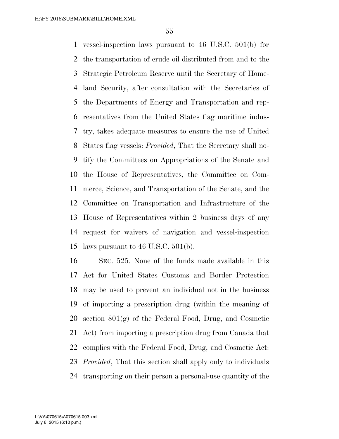vessel-inspection laws pursuant to 46 U.S.C. 501(b) for the transportation of crude oil distributed from and to the Strategic Petroleum Reserve until the Secretary of Home- land Security, after consultation with the Secretaries of the Departments of Energy and Transportation and rep- resentatives from the United States flag maritime indus- try, takes adequate measures to ensure the use of United States flag vessels: *Provided*, That the Secretary shall no- tify the Committees on Appropriations of the Senate and the House of Representatives, the Committee on Com- merce, Science, and Transportation of the Senate, and the Committee on Transportation and Infrastructure of the House of Representatives within 2 business days of any request for waivers of navigation and vessel-inspection laws pursuant to 46 U.S.C. 501(b).

 SEC. 525. None of the funds made available in this Act for United States Customs and Border Protection may be used to prevent an individual not in the business of importing a prescription drug (within the meaning of section 801(g) of the Federal Food, Drug, and Cosmetic Act) from importing a prescription drug from Canada that complies with the Federal Food, Drug, and Cosmetic Act: *Provided*, That this section shall apply only to individuals transporting on their person a personal-use quantity of the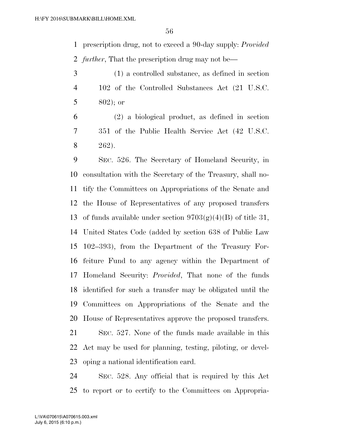prescription drug, not to exceed a 90-day supply: *Provided further*, That the prescription drug may not be—

 (1) a controlled substance, as defined in section 102 of the Controlled Substances Act (21 U.S.C. 5 ; or

 (2) a biological product, as defined in section 351 of the Public Health Service Act (42 U.S.C. 262).

 SEC. 526. The Secretary of Homeland Security, in consultation with the Secretary of the Treasury, shall no- tify the Committees on Appropriations of the Senate and the House of Representatives of any proposed transfers 13 of funds available under section  $9703(g)(4)(B)$  of title 31, United States Code (added by section 638 of Public Law 102–393), from the Department of the Treasury For- feiture Fund to any agency within the Department of Homeland Security: *Provided*, That none of the funds identified for such a transfer may be obligated until the Committees on Appropriations of the Senate and the House of Representatives approve the proposed transfers.

 SEC. 527. None of the funds made available in this Act may be used for planning, testing, piloting, or devel-oping a national identification card.

 SEC. 528. Any official that is required by this Act to report or to certify to the Committees on Appropria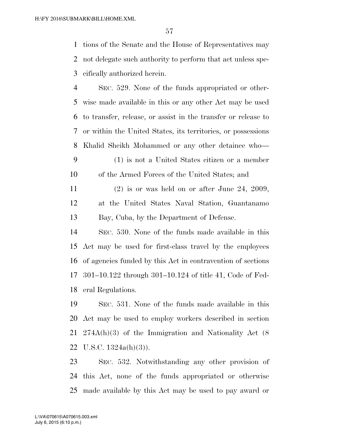tions of the Senate and the House of Representatives may not delegate such authority to perform that act unless spe-cifically authorized herein.

 SEC. 529. None of the funds appropriated or other- wise made available in this or any other Act may be used to transfer, release, or assist in the transfer or release to or within the United States, its territories, or possessions Khalid Sheikh Mohammed or any other detainee who—

- (1) is not a United States citizen or a member of the Armed Forces of the United States; and
- (2) is or was held on or after June 24, 2009, at the United States Naval Station, Guantanamo Bay, Cuba, by the Department of Defense.
- SEC. 530. None of the funds made available in this Act may be used for first-class travel by the employees of agencies funded by this Act in contravention of sections 301–10.122 through 301–10.124 of title 41, Code of Fed-eral Regulations.

 SEC. 531. None of the funds made available in this Act may be used to employ workers described in section 274A(h)(3) of the Immigration and Nationality Act (8 U.S.C. 1324a(h)(3)).

 SEC. 532. Notwithstanding any other provision of this Act, none of the funds appropriated or otherwise made available by this Act may be used to pay award or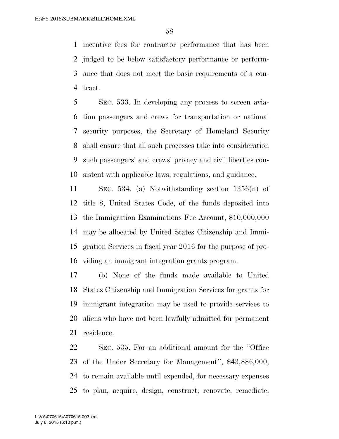incentive fees for contractor performance that has been judged to be below satisfactory performance or perform- ance that does not meet the basic requirements of a con-tract.

 SEC. 533. In developing any process to screen avia- tion passengers and crews for transportation or national security purposes, the Secretary of Homeland Security shall ensure that all such processes take into consideration such passengers' and crews' privacy and civil liberties con-sistent with applicable laws, regulations, and guidance.

 SEC. 534. (a) Notwithstanding section 1356(n) of title 8, United States Code, of the funds deposited into the Immigration Examinations Fee Account, \$10,000,000 may be allocated by United States Citizenship and Immi- gration Services in fiscal year 2016 for the purpose of pro-viding an immigrant integration grants program.

 (b) None of the funds made available to United States Citizenship and Immigration Services for grants for immigrant integration may be used to provide services to aliens who have not been lawfully admitted for permanent residence.

 SEC. 535. For an additional amount for the ''Office of the Under Secretary for Management'', \$43,886,000, to remain available until expended, for necessary expenses to plan, acquire, design, construct, renovate, remediate,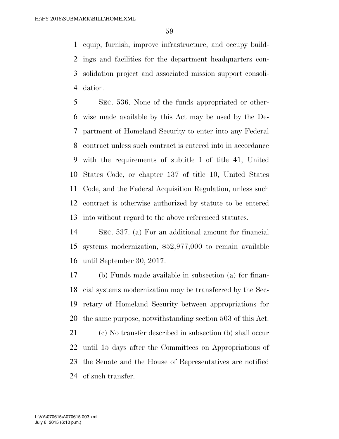equip, furnish, improve infrastructure, and occupy build- ings and facilities for the department headquarters con- solidation project and associated mission support consoli-dation.

 SEC. 536. None of the funds appropriated or other- wise made available by this Act may be used by the De- partment of Homeland Security to enter into any Federal contract unless such contract is entered into in accordance with the requirements of subtitle I of title 41, United States Code, or chapter 137 of title 10, United States Code, and the Federal Acquisition Regulation, unless such contract is otherwise authorized by statute to be entered into without regard to the above referenced statutes.

 SEC. 537. (a) For an additional amount for financial systems modernization, \$52,977,000 to remain available until September 30, 2017.

 (b) Funds made available in subsection (a) for finan- cial systems modernization may be transferred by the Sec- retary of Homeland Security between appropriations for the same purpose, notwithstanding section 503 of this Act.

 (c) No transfer described in subsection (b) shall occur until 15 days after the Committees on Appropriations of the Senate and the House of Representatives are notified of such transfer.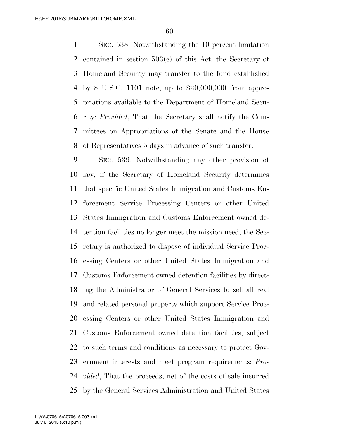SEC. 538. Notwithstanding the 10 percent limitation contained in section 503(c) of this Act, the Secretary of Homeland Security may transfer to the fund established by 8 U.S.C. 1101 note, up to \$20,000,000 from appro- priations available to the Department of Homeland Secu- rity: *Provided*, That the Secretary shall notify the Com- mittees on Appropriations of the Senate and the House of Representatives 5 days in advance of such transfer.

 SEC. 539. Notwithstanding any other provision of law, if the Secretary of Homeland Security determines that specific United States Immigration and Customs En- forcement Service Processing Centers or other United States Immigration and Customs Enforcement owned de- tention facilities no longer meet the mission need, the Sec- retary is authorized to dispose of individual Service Proc- essing Centers or other United States Immigration and Customs Enforcement owned detention facilities by direct- ing the Administrator of General Services to sell all real and related personal property which support Service Proc- essing Centers or other United States Immigration and Customs Enforcement owned detention facilities, subject to such terms and conditions as necessary to protect Gov- ernment interests and meet program requirements: *Pro- vided*, That the proceeds, net of the costs of sale incurred by the General Services Administration and United States

July 6, 2015 (6:10 p.m.) L:\VA\070615\A070615.003.xml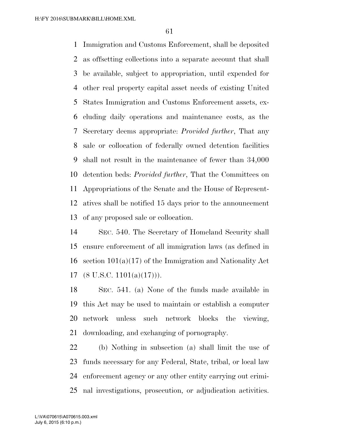Immigration and Customs Enforcement, shall be deposited as offsetting collections into a separate account that shall be available, subject to appropriation, until expended for other real property capital asset needs of existing United States Immigration and Customs Enforcement assets, ex- cluding daily operations and maintenance costs, as the Secretary deems appropriate: *Provided further*, That any sale or collocation of federally owned detention facilities shall not result in the maintenance of fewer than 34,000 detention beds: *Provided further*, That the Committees on Appropriations of the Senate and the House of Represent- atives shall be notified 15 days prior to the announcement of any proposed sale or collocation.

 SEC. 540. The Secretary of Homeland Security shall ensure enforcement of all immigration laws (as defined in section 101(a)(17) of the Immigration and Nationality Act  $(8 \text{ U.S.C. } 1101(a)(17))).$ 

 SEC. 541. (a) None of the funds made available in this Act may be used to maintain or establish a computer network unless such network blocks the viewing, downloading, and exchanging of pornography.

 (b) Nothing in subsection (a) shall limit the use of funds necessary for any Federal, State, tribal, or local law enforcement agency or any other entity carrying out crimi-nal investigations, prosecution, or adjudication activities.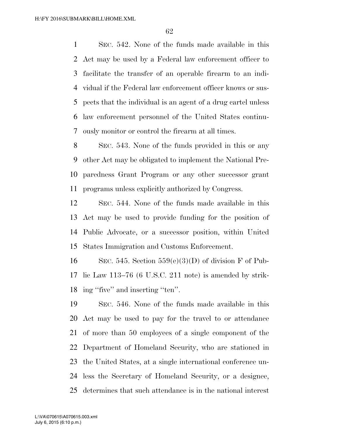SEC. 542. None of the funds made available in this Act may be used by a Federal law enforcement officer to facilitate the transfer of an operable firearm to an indi- vidual if the Federal law enforcement officer knows or sus- pects that the individual is an agent of a drug cartel unless law enforcement personnel of the United States continu-ously monitor or control the firearm at all times.

 SEC. 543. None of the funds provided in this or any other Act may be obligated to implement the National Pre- paredness Grant Program or any other successor grant programs unless explicitly authorized by Congress.

 SEC. 544. None of the funds made available in this Act may be used to provide funding for the position of Public Advocate, or a successor position, within United States Immigration and Customs Enforcement.

16 SEC. 545. Section  $559(e)(3)(D)$  of division F of Pub- lic Law 113–76 (6 U.S.C. 211 note) is amended by strik-ing ''five'' and inserting ''ten''.

 SEC. 546. None of the funds made available in this Act may be used to pay for the travel to or attendance of more than 50 employees of a single component of the Department of Homeland Security, who are stationed in the United States, at a single international conference un- less the Secretary of Homeland Security, or a designee, determines that such attendance is in the national interest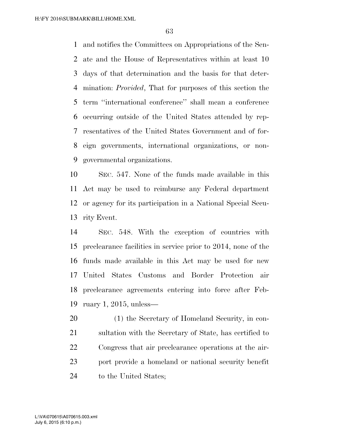and notifies the Committees on Appropriations of the Sen- ate and the House of Representatives within at least 10 days of that determination and the basis for that deter- mination: *Provided*, That for purposes of this section the term ''international conference'' shall mean a conference occurring outside of the United States attended by rep- resentatives of the United States Government and of for- eign governments, international organizations, or non-governmental organizations.

 SEC. 547. None of the funds made available in this Act may be used to reimburse any Federal department or agency for its participation in a National Special Secu-rity Event.

 SEC. 548. With the exception of countries with preclearance facilities in service prior to 2014, none of the funds made available in this Act may be used for new United States Customs and Border Protection air preclearance agreements entering into force after Feb-ruary 1, 2015, unless—

20 (1) the Secretary of Homeland Security, in con- sultation with the Secretary of State, has certified to Congress that air preclearance operations at the air- port provide a homeland or national security benefit to the United States;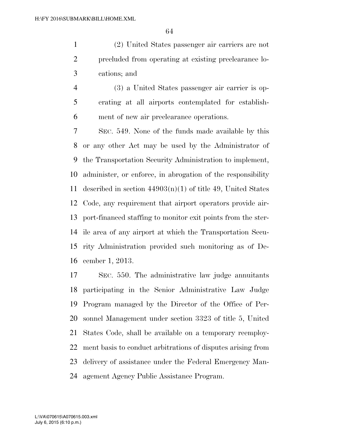(2) United States passenger air carriers are not precluded from operating at existing preclearance lo-cations; and

 (3) a United States passenger air carrier is op- erating at all airports contemplated for establish-ment of new air preclearance operations.

 SEC. 549. None of the funds made available by this or any other Act may be used by the Administrator of the Transportation Security Administration to implement, administer, or enforce, in abrogation of the responsibility 11 described in section  $44903(n)(1)$  of title 49, United States Code, any requirement that airport operators provide air- port-financed staffing to monitor exit points from the ster- ile area of any airport at which the Transportation Secu- rity Administration provided such monitoring as of De-cember 1, 2013.

 SEC. 550. The administrative law judge annuitants participating in the Senior Administrative Law Judge Program managed by the Director of the Office of Per- sonnel Management under section 3323 of title 5, United States Code, shall be available on a temporary reemploy- ment basis to conduct arbitrations of disputes arising from delivery of assistance under the Federal Emergency Man-agement Agency Public Assistance Program.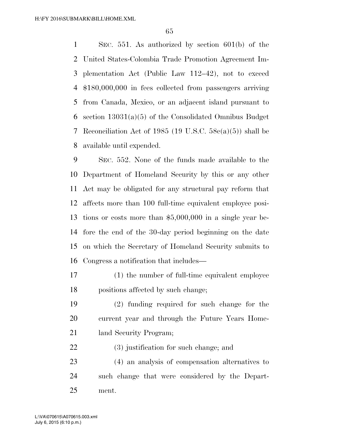SEC. 551. As authorized by section 601(b) of the United States-Colombia Trade Promotion Agreement Im- plementation Act (Public Law 112–42), not to exceed \$180,000,000 in fees collected from passengers arriving from Canada, Mexico, or an adjacent island pursuant to section 13031(a)(5) of the Consolidated Omnibus Budget Reconciliation Act of 1985 (19 U.S.C. 58c(a)(5)) shall be available until expended.

 SEC. 552. None of the funds made available to the Department of Homeland Security by this or any other Act may be obligated for any structural pay reform that affects more than 100 full-time equivalent employee posi- tions or costs more than \$5,000,000 in a single year be- fore the end of the 30-day period beginning on the date on which the Secretary of Homeland Security submits to Congress a notification that includes—

- (1) the number of full-time equivalent employee positions affected by such change;
- (2) funding required for such change for the current year and through the Future Years Home-21 land Security Program;
- (3) justification for such change; and

 (4) an analysis of compensation alternatives to such change that were considered by the Depart-ment.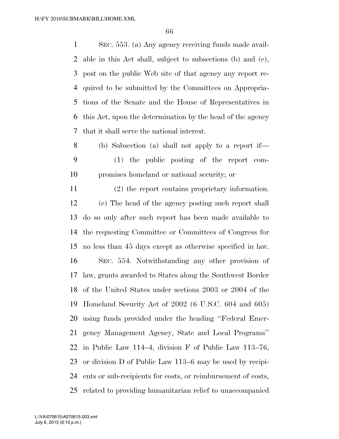SEC. 553. (a) Any agency receiving funds made avail- able in this Act shall, subject to subsections (b) and (c), post on the public Web site of that agency any report re- quired to be submitted by the Committees on Appropria- tions of the Senate and the House of Representatives in this Act, upon the determination by the head of the agency that it shall serve the national interest.

 (b) Subsection (a) shall not apply to a report if— (1) the public posting of the report com-promises homeland or national security; or

 (2) the report contains proprietary information. (c) The head of the agency posting such report shall do so only after such report has been made available to the requesting Committee or Committees of Congress for no less than 45 days except as otherwise specified in law. SEC. 554. Notwithstanding any other provision of law, grants awarded to States along the Southwest Border of the United States under sections 2003 or 2004 of the Homeland Security Act of 2002 (6 U.S.C. 604 and 605) using funds provided under the heading ''Federal Emer- gency Management Agency, State and Local Programs'' in Public Law 114–4, division F of Public Law 113–76, or division D of Public Law 113–6 may be used by recipi- ents or sub-recipients for costs, or reimbursement of costs, related to providing humanitarian relief to unaccompanied

July 6, 2015 (6:10 p.m.) L:\VA\070615\A070615.003.xml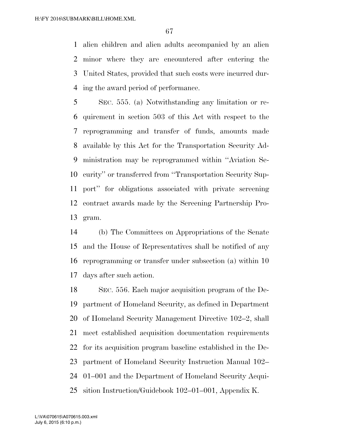alien children and alien adults accompanied by an alien minor where they are encountered after entering the United States, provided that such costs were incurred dur-ing the award period of performance.

 SEC. 555. (a) Notwithstanding any limitation or re- quirement in section 503 of this Act with respect to the reprogramming and transfer of funds, amounts made available by this Act for the Transportation Security Ad- ministration may be reprogrammed within ''Aviation Se- curity'' or transferred from ''Transportation Security Sup- port'' for obligations associated with private screening contract awards made by the Screening Partnership Pro-gram.

 (b) The Committees on Appropriations of the Senate and the House of Representatives shall be notified of any reprogramming or transfer under subsection (a) within 10 days after such action.

 SEC. 556. Each major acquisition program of the De- partment of Homeland Security, as defined in Department of Homeland Security Management Directive 102–2, shall meet established acquisition documentation requirements for its acquisition program baseline established in the De- partment of Homeland Security Instruction Manual 102– 01–001 and the Department of Homeland Security Acqui-sition Instruction/Guidebook 102–01–001, Appendix K.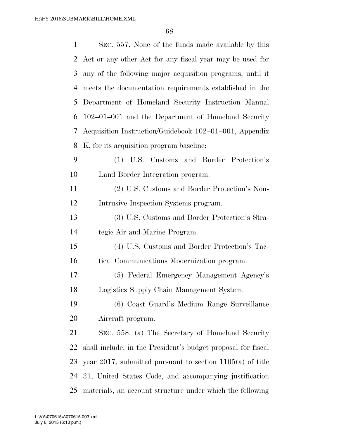| $\mathbf{1}$ | SEC. 557. None of the funds made available by this           |
|--------------|--------------------------------------------------------------|
| 2            | Act or any other Act for any fiscal year may be used for     |
| 3            | any of the following major acquisition programs, until it    |
| 4            | meets the documentation requirements established in the      |
| 5            | Department of Homeland Security Instruction Manual           |
| 6            | 102–01–001 and the Department of Homeland Security           |
| 7            | Acquisition Instruction/Guidebook 102–01–001, Appendix       |
| 8            | K, for its acquisition program baseline:                     |
| 9            | (1) U.S. Customs and Border Protection's                     |
| 10           | Land Border Integration program.                             |
| 11           | (2) U.S. Customs and Border Protection's Non-                |
| 12           | Intrusive Inspection Systems program.                        |
| 13           | (3) U.S. Customs and Border Protection's Stra-               |
| 14           | tegic Air and Marine Program.                                |
| 15           | (4) U.S. Customs and Border Protection's Tac-                |
| 16           | tical Communications Modernization program.                  |
| 17           | (5) Federal Emergency Management Agency's                    |
| 18           | Logistics Supply Chain Management System.                    |
| 19           | (6) Coast Guard's Medium Range Surveillance                  |
| 20           | Aircraft program.                                            |
| 21           | SEC. 558. (a) The Secretary of Homeland Security             |
| 22           | shall include, in the President's budget proposal for fiscal |
| 23           | year 2017, submitted pursuant to section $1105(a)$ of title  |
| 24           | 31, United States Code, and accompanying justification       |
| 25           | materials, an account structure under which the following    |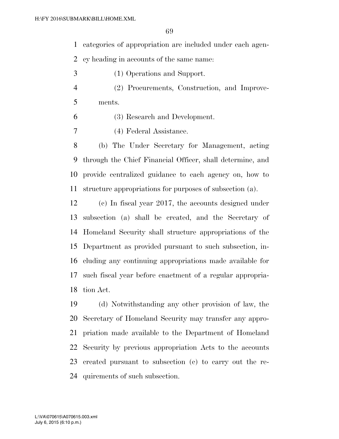categories of appropriation are included under each agen-

cy heading in accounts of the same name:

- (1) Operations and Support.
- (2) Procurements, Construction, and Improve-ments.

(3) Research and Development.

(4) Federal Assistance.

 (b) The Under Secretary for Management, acting through the Chief Financial Officer, shall determine, and provide centralized guidance to each agency on, how to structure appropriations for purposes of subsection (a).

 (c) In fiscal year 2017, the accounts designed under subsection (a) shall be created, and the Secretary of Homeland Security shall structure appropriations of the Department as provided pursuant to such subsection, in- cluding any continuing appropriations made available for such fiscal year before enactment of a regular appropria-tion Act.

 (d) Notwithstanding any other provision of law, the Secretary of Homeland Security may transfer any appro- priation made available to the Department of Homeland Security by previous appropriation Acts to the accounts created pursuant to subsection (c) to carry out the re-quirements of such subsection.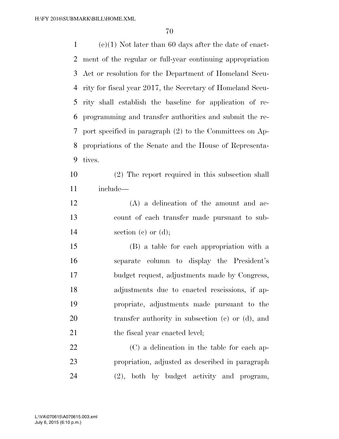(e)(1) Not later than 60 days after the date of enact- ment of the regular or full-year continuing appropriation Act or resolution for the Department of Homeland Secu- rity for fiscal year 2017, the Secretary of Homeland Secu- rity shall establish the baseline for application of re- programming and transfer authorities and submit the re- port specified in paragraph (2) to the Committees on Ap- propriations of the Senate and the House of Representa- tives. (2) The report required in this subsection shall include— (A) a delineation of the amount and ac- count of each transfer made pursuant to sub-14 section (c) or (d); (B) a table for each appropriation with a separate column to display the President's budget request, adjustments made by Congress, adjustments due to enacted rescissions, if ap- propriate, adjustments made pursuant to the transfer authority in subsection (c) or (d), and 21 the fiscal year enacted level; (C) a delineation in the table for each ap- propriation, adjusted as described in paragraph (2), both by budget activity and program,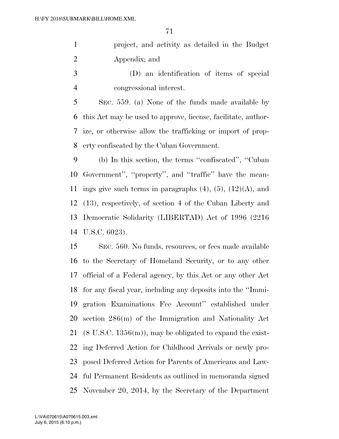project, and activity as detailed in the Budget Appendix; and

 (D) an identification of items of special congressional interest.

 SEC. 559. (a) None of the funds made available by this Act may be used to approve, license, facilitate, author- ize, or otherwise allow the trafficking or import of prop-erty confiscated by the Cuban Government.

 (b) In this section, the terms ''confiscated'', ''Cuban Government'', ''property'', and ''traffic'' have the mean-11 ings give such terms in paragraphs  $(4)$ ,  $(5)$ ,  $(12)(A)$ , and (13), respectively, of section 4 of the Cuban Liberty and Democratic Solidarity (LIBERTAD) Act of 1996 (2216 U.S.C. 6023).

 SEC. 560. No funds, resources, or fees made available to the Secretary of Homeland Security, or to any other official of a Federal agency, by this Act or any other Act for any fiscal year, including any deposits into the ''Immi- gration Examinations Fee Account'' established under section 286(m) of the Immigration and Nationality Act (8 U.S.C. 1356(m)), may be obligated to expand the exist- ing Deferred Action for Childhood Arrivals or newly pro- posed Deferred Action for Parents of Americans and Law- ful Permanent Residents as outlined in memoranda signed November 20, 2014, by the Secretary of the Department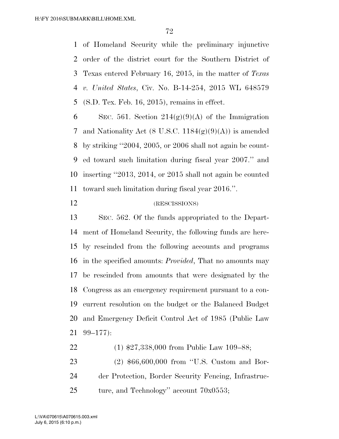of Homeland Security while the preliminary injunctive order of the district court for the Southern District of Texas entered February 16, 2015, in the matter of *Texas v. United States*, Civ. No. B-14-254, 2015 WL 648579 (S.D. Tex. Feb. 16, 2015), remains in effect.

6 SEC. 561. Section  $214(g)(9)(A)$  of the Immigration 7 and Nationality Act (8 U.S.C.  $1184(g)(9)(A)$ ) is amended by striking ''2004, 2005, or 2006 shall not again be count- ed toward such limitation during fiscal year 2007.'' and inserting ''2013, 2014, or 2015 shall not again be counted toward such limitation during fiscal year 2016.''.

## (RESCISSIONS)

 SEC. 562. Of the funds appropriated to the Depart- ment of Homeland Security, the following funds are here- by rescinded from the following accounts and programs in the specified amounts: *Provided*, That no amounts may be rescinded from amounts that were designated by the Congress as an emergency requirement pursuant to a con- current resolution on the budget or the Balanced Budget and Emergency Deficit Control Act of 1985 (Public Law 99–177):

 (1) \$27,338,000 from Public Law 109–88; (2) \$66,600,000 from ''U.S. Custom and Bor- der Protection, Border Security Fencing, Infrastruc-25 ture, and Technology'' account  $70x0553$ ;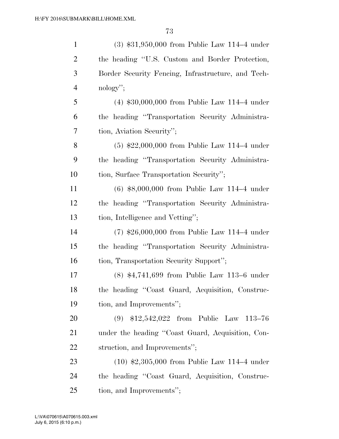| $\mathbf{1}$   | $(3)$ \$31,950,000 from Public Law 114–4 under     |
|----------------|----------------------------------------------------|
| 2              | the heading "U.S. Custom and Border Protection,    |
| 3              | Border Security Fencing, Infrastructure, and Tech- |
| $\overline{4}$ | $\mathrm{nology}$ ";                               |
| 5              | $(4)$ \$30,000,000 from Public Law 114–4 under     |
| 6              | the heading "Transportation Security Administra-   |
| 7              | tion, Aviation Security";                          |
| 8              | $(5)$ \$22,000,000 from Public Law 114–4 under     |
| 9              | the heading "Transportation Security Administra-   |
| 10             | tion, Surface Transportation Security";            |
| 11             | $(6)$ \$8,000,000 from Public Law 114–4 under      |
| 12             | the heading "Transportation Security Administra-   |
| 13             | tion, Intelligence and Vetting";                   |
| 14             | $(7)$ \$26,000,000 from Public Law 114-4 under     |
| 15             | the heading "Transportation Security Administra-   |
| 16             | tion, Transportation Security Support";            |
| 17             | $(8)$ \$4,741,699 from Public Law 113–6 under      |
| 18             | the heading "Coast Guard, Acquisition, Construc-   |
| 19             | tion, and Improvements";                           |
| 20             | $(9)$ \$12,542,022 from Public Law 113-76          |
| 21             | under the heading "Coast Guard, Acquisition, Con-  |
| 22             | struction, and Improvements";                      |
| 23             | $(10)$ \$2,305,000 from Public Law 114–4 under     |
| 24             | the heading "Coast Guard, Acquisition, Construc-   |
| 25             | tion, and Improvements";                           |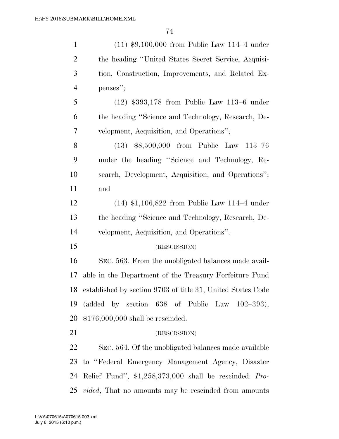| $\mathbf{1}$   | $(11)$ \$9,100,000 from Public Law 114–4 under                 |
|----------------|----------------------------------------------------------------|
| $\overline{2}$ | the heading "United States Secret Service, Acquisi-            |
| 3              | tion, Construction, Improvements, and Related Ex-              |
| $\overline{4}$ | penses";                                                       |
| 5              | $(12)$ \$393,178 from Public Law 113–6 under                   |
| 6              | the heading "Science and Technology, Research, De-             |
| 7              | velopment, Acquisition, and Operations";                       |
| 8              | (13) \$8,500,000 from Public Law 113-76                        |
| 9              | under the heading "Science and Technology, Re-                 |
| 10             | search, Development, Acquisition, and Operations";             |
| 11             | and                                                            |
| 12             | $(14)$ \$1,106,822 from Public Law 114–4 under                 |
| 13             | the heading "Science and Technology, Research, De-             |
| 14             | velopment, Acquisition, and Operations".                       |
| 15             | (RESCISSION)                                                   |
| 16             | SEC. 563. From the unobligated balances made avail-            |
| 17             | able in the Department of the Treasury Forfeiture Fund         |
|                | 18 established by section 9703 of title 31, United States Code |
| 19             | (added by section $638$ of Public Law $102-393$ ),             |
| 20             | $$176,000,000$ shall be rescinded.                             |
| 21             | (RESCISSION)                                                   |
| 22             | SEC. 564. Of the unobligated balances made available           |
| 23             | to "Federal Emergency Management Agency, Disaster              |
| 24             | Relief Fund", $$1,258,373,000$ shall be rescinded: Pro-        |
| 25             | <i>vided</i> , That no amounts may be rescinded from amounts   |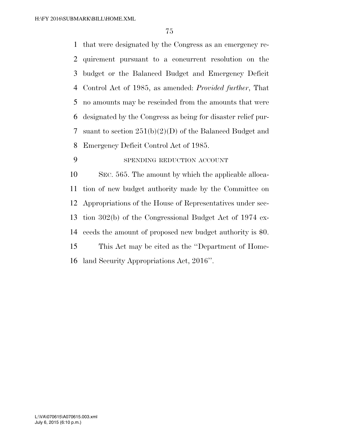that were designated by the Congress as an emergency re- quirement pursuant to a concurrent resolution on the budget or the Balanced Budget and Emergency Deficit Control Act of 1985, as amended: *Provided further*, That no amounts may be rescinded from the amounts that were designated by the Congress as being for disaster relief pur- suant to section 251(b)(2)(D) of the Balanced Budget and Emergency Deficit Control Act of 1985.

## SPENDING REDUCTION ACCOUNT

 SEC. 565. The amount by which the applicable alloca- tion of new budget authority made by the Committee on Appropriations of the House of Representatives under sec- tion 302(b) of the Congressional Budget Act of 1974 ex- ceeds the amount of proposed new budget authority is \$0. This Act may be cited as the ''Department of Home-land Security Appropriations Act, 2016''.